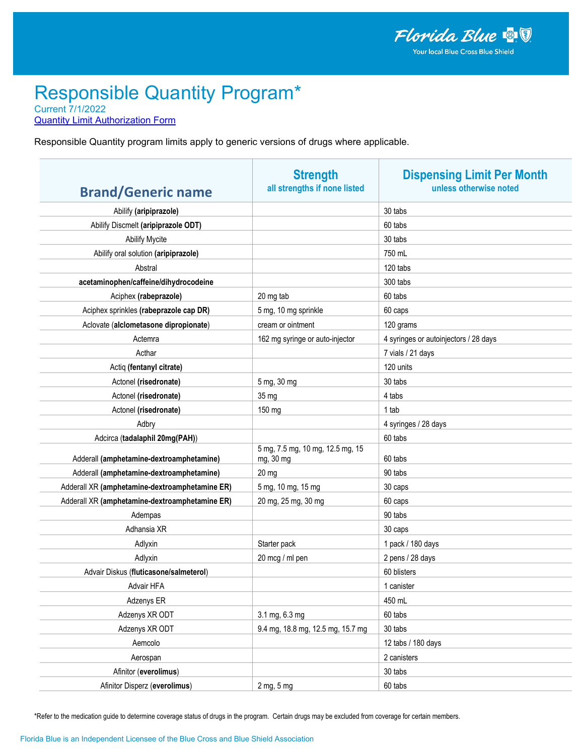**Quantity Limit Authorization Form** 

Responsible Quantity program limits apply to generic versions of drugs where applicable.

|                                                | <b>Strength</b>                               | <b>Dispensing Limit Per Month</b>     |
|------------------------------------------------|-----------------------------------------------|---------------------------------------|
| <b>Brand/Generic name</b>                      | all strengths if none listed                  | unless otherwise noted                |
| Abilify (aripiprazole)                         |                                               | 30 tabs                               |
| Abilify Discmelt (aripiprazole ODT)            |                                               | 60 tabs                               |
| <b>Abilify Mycite</b>                          |                                               | 30 tabs                               |
| Abilify oral solution (aripiprazole)           |                                               | 750 mL                                |
| Abstral                                        |                                               | 120 tabs                              |
| acetaminophen/caffeine/dihydrocodeine          |                                               | 300 tabs                              |
| Aciphex (rabeprazole)                          | 20 mg tab                                     | 60 tabs                               |
| Aciphex sprinkles (rabeprazole cap DR)         | 5 mg, 10 mg sprinkle                          | 60 caps                               |
| Aclovate (alclometasone dipropionate)          | cream or ointment                             | 120 grams                             |
| Actemra                                        | 162 mg syringe or auto-injector               | 4 syringes or autoinjectors / 28 days |
| Acthar                                         |                                               | 7 vials / 21 days                     |
| Actiq (fentanyl citrate)                       |                                               | 120 units                             |
| Actonel (risedronate)                          | 5 mg, 30 mg                                   | 30 tabs                               |
| Actonel (risedronate)                          | 35 mg                                         | 4 tabs                                |
| Actonel (risedronate)                          | 150 mg                                        | 1 tab                                 |
| Adbry                                          |                                               | 4 syringes / 28 days                  |
| Adcirca (tadalaphil 20mg(PAH))                 |                                               | 60 tabs                               |
| Adderall (amphetamine-dextroamphetamine)       | 5 mg, 7.5 mg, 10 mg, 12.5 mg, 15<br>mg, 30 mg | 60 tabs                               |
| Adderall (amphetamine-dextroamphetamine)       | 20 mg                                         | 90 tabs                               |
| Adderall XR (amphetamine-dextroamphetamine ER) | 5 mg, 10 mg, 15 mg                            | 30 caps                               |
| Adderall XR (amphetamine-dextroamphetamine ER) | 20 mg, 25 mg, 30 mg                           | 60 caps                               |
| Adempas                                        |                                               | 90 tabs                               |
| Adhansia XR                                    |                                               | 30 caps                               |
| Adlyxin                                        | Starter pack                                  | 1 pack / 180 days                     |
| Adlyxin                                        | 20 mcg / ml pen                               | 2 pens / 28 days                      |
| Advair Diskus (fluticasone/salmeterol)         |                                               | 60 blisters                           |
| Advair HFA                                     |                                               | 1 canister                            |
| Adzenys ER                                     |                                               | 450 mL                                |
| Adzenys XR ODT                                 | 3.1 mg, 6.3 mg                                | 60 tabs                               |
| Adzenys XR ODT                                 | 9.4 mg, 18.8 mg, 12.5 mg, 15.7 mg             | 30 tabs                               |
| Aemcolo                                        |                                               | 12 tabs / 180 days                    |
| Aerospan                                       |                                               | 2 canisters                           |
| Afinitor (everolimus)                          |                                               | 30 tabs                               |
| Afinitor Disperz (everolimus)                  | 2 mg, 5 mg                                    | 60 tabs                               |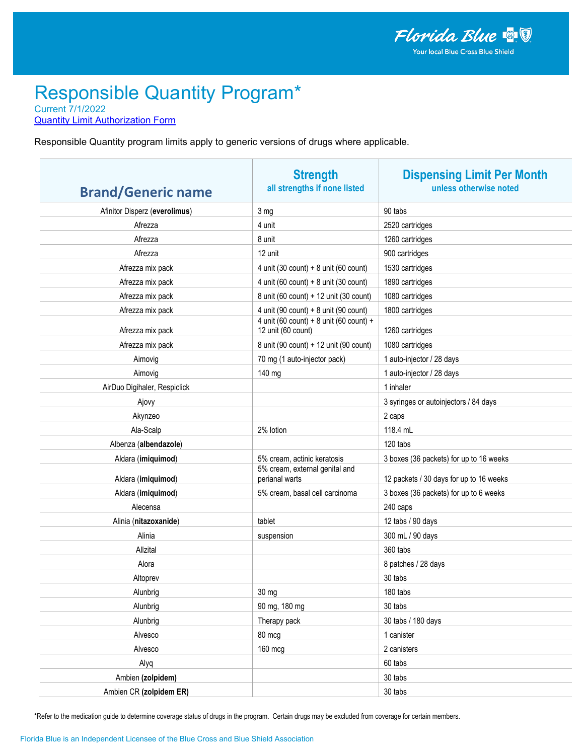**Quantity Limit Authorization Form** 

Responsible Quantity program limits apply to generic versions of drugs where applicable.

| <b>Brand/Generic name</b>     | <b>Strength</b><br>all strengths if none listed               | <b>Dispensing Limit Per Month</b><br>unless otherwise noted |
|-------------------------------|---------------------------------------------------------------|-------------------------------------------------------------|
| Afinitor Disperz (everolimus) | 3 mg                                                          | 90 tabs                                                     |
| Afrezza                       | 4 unit                                                        | 2520 cartridges                                             |
| Afrezza                       | 8 unit                                                        | 1260 cartridges                                             |
| Afrezza                       | 12 unit                                                       | 900 cartridges                                              |
| Afrezza mix pack              | 4 unit (30 count) + 8 unit (60 count)                         | 1530 cartridges                                             |
| Afrezza mix pack              | 4 unit (60 count) + 8 unit (30 count)                         | 1890 cartridges                                             |
| Afrezza mix pack              | 8 unit (60 count) + 12 unit (30 count)                        | 1080 cartridges                                             |
| Afrezza mix pack              | 4 unit (90 count) + 8 unit (90 count)                         | 1800 cartridges                                             |
| Afrezza mix pack              | 4 unit (60 count) + 8 unit (60 count) +<br>12 unit (60 count) | 1260 cartridges                                             |
| Afrezza mix pack              | 8 unit (90 count) + 12 unit (90 count)                        | 1080 cartridges                                             |
| Aimovig                       | 70 mg (1 auto-injector pack)                                  | 1 auto-injector / 28 days                                   |
| Aimovig                       | 140 mg                                                        | 1 auto-injector / 28 days                                   |
| AirDuo Digihaler, Respiclick  |                                                               | 1 inhaler                                                   |
| Ajovy                         |                                                               | 3 syringes or autoinjectors / 84 days                       |
| Akynzeo                       |                                                               | 2 caps                                                      |
| Ala-Scalp                     | 2% lotion                                                     | 118.4 mL                                                    |
| Albenza (albendazole)         |                                                               | 120 tabs                                                    |
| Aldara (imiquimod)            | 5% cream, actinic keratosis                                   | 3 boxes (36 packets) for up to 16 weeks                     |
| Aldara (imiquimod)            | 5% cream, external genital and<br>perianal warts              | 12 packets / 30 days for up to 16 weeks                     |
| Aldara (imiquimod)            | 5% cream, basal cell carcinoma                                | 3 boxes (36 packets) for up to 6 weeks                      |
| Alecensa                      |                                                               | 240 caps                                                    |
| Alinia (nitazoxanide)         | tablet                                                        | 12 tabs / 90 days                                           |
| Alinia                        | suspension                                                    | 300 mL / 90 days                                            |
| Allzital                      |                                                               | 360 tabs                                                    |
| Alora                         |                                                               | 8 patches / 28 days                                         |
| Altoprev                      |                                                               | 30 tabs                                                     |
| Alunbrig                      | 30 mg                                                         | 180 tabs                                                    |
| Alunbrig                      | 90 mg, 180 mg                                                 | 30 tabs                                                     |
| Alunbrig                      | Therapy pack                                                  | 30 tabs / 180 days                                          |
| Alvesco                       | 80 mcg                                                        | 1 canister                                                  |
| Alvesco                       | 160 mcg                                                       | 2 canisters                                                 |
| Alyq                          |                                                               | 60 tabs                                                     |
| Ambien (zolpidem)             |                                                               | 30 tabs                                                     |
| Ambien CR (zolpidem ER)       |                                                               | 30 tabs                                                     |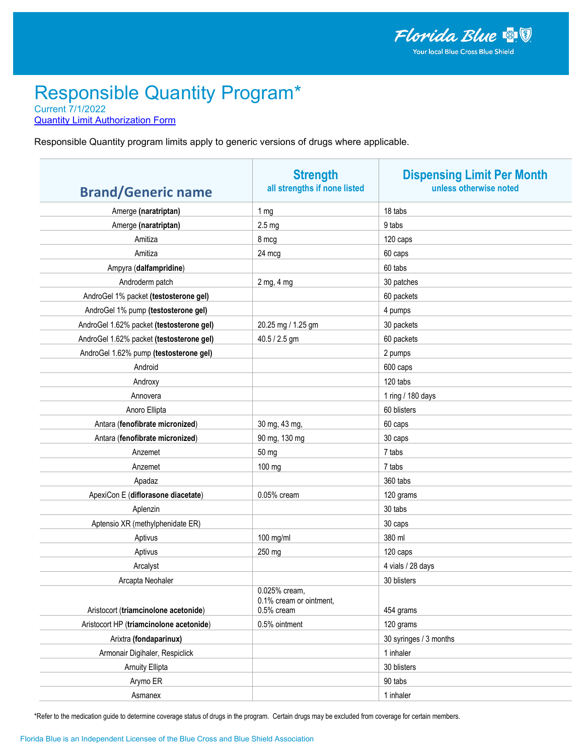**Quantity Limit Authorization Form** 

Responsible Quantity program limits apply to generic versions of drugs where applicable.

| <b>Brand/Generic name</b>                | <b>Strength</b><br>all strengths if none listed        | <b>Dispensing Limit Per Month</b><br>unless otherwise noted |
|------------------------------------------|--------------------------------------------------------|-------------------------------------------------------------|
| Amerge (naratriptan)                     | 1 <sub>mg</sub>                                        | 18 tabs                                                     |
| Amerge (naratriptan)                     | 2.5 <sub>mg</sub>                                      | 9 tabs                                                      |
| Amitiza                                  | 8 mcg                                                  | 120 caps                                                    |
| Amitiza                                  | 24 mcg                                                 | 60 caps                                                     |
| Ampyra (dalfampridine)                   |                                                        | 60 tabs                                                     |
| Androderm patch                          | 2 mg, 4 mg                                             | 30 patches                                                  |
| AndroGel 1% packet (testosterone gel)    |                                                        | 60 packets                                                  |
| AndroGel 1% pump (testosterone gel)      |                                                        | 4 pumps                                                     |
| AndroGel 1.62% packet (testosterone gel) | 20.25 mg / 1.25 gm                                     | 30 packets                                                  |
| AndroGel 1.62% packet (testosterone gel) | 40.5 / 2.5 gm                                          | 60 packets                                                  |
| AndroGel 1.62% pump (testosterone gel)   |                                                        | 2 pumps                                                     |
| Android                                  |                                                        | 600 caps                                                    |
| Androxy                                  |                                                        | 120 tabs                                                    |
| Annovera                                 |                                                        | 1 ring / 180 days                                           |
| Anoro Ellipta                            |                                                        | 60 blisters                                                 |
| Antara (fenofibrate micronized)          | 30 mg, 43 mg,                                          | 60 caps                                                     |
| Antara (fenofibrate micronized)          | 90 mg, 130 mg                                          | 30 caps                                                     |
| Anzemet                                  | 50 mg                                                  | 7 tabs                                                      |
| Anzemet                                  | 100 mg                                                 | 7 tabs                                                      |
| Apadaz                                   |                                                        | 360 tabs                                                    |
| ApexiCon E (diflorasone diacetate)       | 0.05% cream                                            | 120 grams                                                   |
| Aplenzin                                 |                                                        | 30 tabs                                                     |
| Aptensio XR (methylphenidate ER)         |                                                        | 30 caps                                                     |
| Aptivus                                  | 100 mg/ml                                              | 380 ml                                                      |
| Aptivus                                  | 250 mg                                                 | 120 caps                                                    |
| Arcalyst                                 |                                                        | 4 vials / 28 days                                           |
| Arcapta Neohaler                         |                                                        | 30 blisters                                                 |
| Aristocort (triamcinolone acetonide)     | 0.025% cream,<br>0.1% cream or ointment,<br>0.5% cream | 454 grams                                                   |
| Aristocort HP (triamcinolone acetonide)  | 0.5% ointment                                          | 120 grams                                                   |
| Arixtra (fondaparinux)                   |                                                        | 30 syringes / 3 months                                      |
| Armonair Digihaler, Respiclick           |                                                        | 1 inhaler                                                   |
| <b>Arnuity Ellipta</b>                   |                                                        | 30 blisters                                                 |
| Arymo ER                                 |                                                        | 90 tabs                                                     |
| Asmanex                                  |                                                        | 1 inhaler                                                   |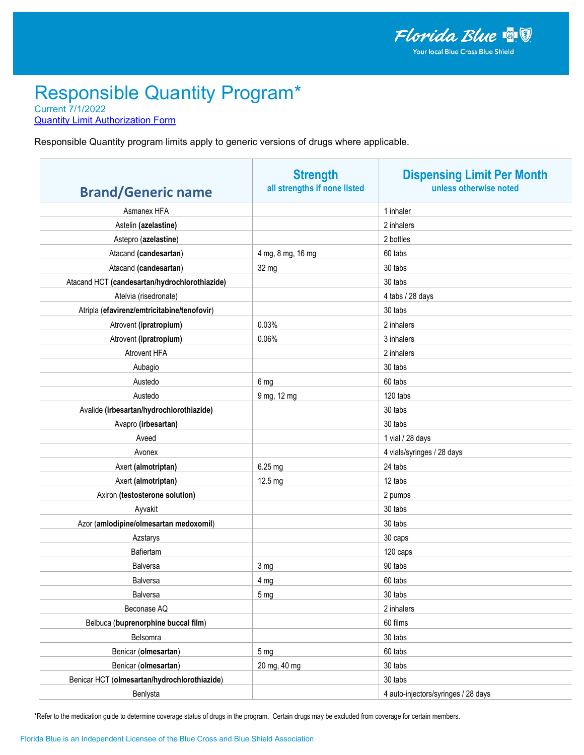**Quantity Limit Authorization Form** 

Responsible Quantity program limits apply to generic versions of drugs where applicable.

| <b>Brand/Generic name</b>                     | <b>Strength</b><br>all strengths if none listed | <b>Dispensing Limit Per Month</b><br>unless otherwise noted |
|-----------------------------------------------|-------------------------------------------------|-------------------------------------------------------------|
| Asmanex HFA                                   |                                                 | 1 inhaler                                                   |
| Astelin (azelastine)                          |                                                 | 2 inhalers                                                  |
| Astepro (azelastine)                          |                                                 | 2 bottles                                                   |
| Atacand (candesartan)                         | 4 mg, 8 mg, 16 mg                               | 60 tabs                                                     |
| Atacand (candesartan)                         | 32 mg                                           | 30 tabs                                                     |
| Atacand HCT (candesartan/hydrochlorothiazide) |                                                 | 30 tabs                                                     |
| Atelvia (risedronate)                         |                                                 | 4 tabs / 28 days                                            |
| Atripla (efavirenz/emtricitabine/tenofovir)   |                                                 | 30 tabs                                                     |
| Atrovent (ipratropium)                        | 0.03%                                           | 2 inhalers                                                  |
| Atrovent (ipratropium)                        | 0.06%                                           | 3 inhalers                                                  |
| <b>Atrovent HFA</b>                           |                                                 | 2 inhalers                                                  |
| Aubagio                                       |                                                 | 30 tabs                                                     |
| Austedo                                       | 6 mg                                            | 60 tabs                                                     |
| Austedo                                       | 9 mg, 12 mg                                     | 120 tabs                                                    |
| Avalide (irbesartan/hydrochlorothiazide)      |                                                 | 30 tabs                                                     |
| Avapro (irbesartan)                           |                                                 | 30 tabs                                                     |
| Aveed                                         |                                                 | 1 vial / 28 days                                            |
| Avonex                                        |                                                 | 4 vials/syringes / 28 days                                  |
| Axert (almotriptan)                           | 6.25 mg                                         | 24 tabs                                                     |
| Axert (almotriptan)                           | 12.5 mg                                         | 12 tabs                                                     |
| Axiron (testosterone solution)                |                                                 | 2 pumps                                                     |
| Ayvakit                                       |                                                 | 30 tabs                                                     |
| Azor (amlodipine/olmesartan medoxomil)        |                                                 | 30 tabs                                                     |
| Azstarys                                      |                                                 | 30 caps                                                     |
| Bafiertam                                     |                                                 | 120 caps                                                    |
| <b>Balversa</b>                               | 3 mg                                            | 90 tabs                                                     |
| <b>Balversa</b>                               | 4 mg                                            | 60 tabs                                                     |
| Balversa                                      | 5 <sub>mg</sub>                                 | 30 tabs                                                     |
| Beconase AQ                                   |                                                 | 2 inhalers                                                  |
| Belbuca (buprenorphine buccal film)           |                                                 | 60 films                                                    |
| Belsomra                                      |                                                 | 30 tabs                                                     |
| Benicar (olmesartan)                          | 5 <sub>mg</sub>                                 | 60 tabs                                                     |
| Benicar (olmesartan)                          | 20 mg, 40 mg                                    | 30 tabs                                                     |
| Benicar HCT (olmesartan/hydrochlorothiazide)  |                                                 | 30 tabs                                                     |
| Benlysta                                      |                                                 | 4 auto-injectors/syringes / 28 days                         |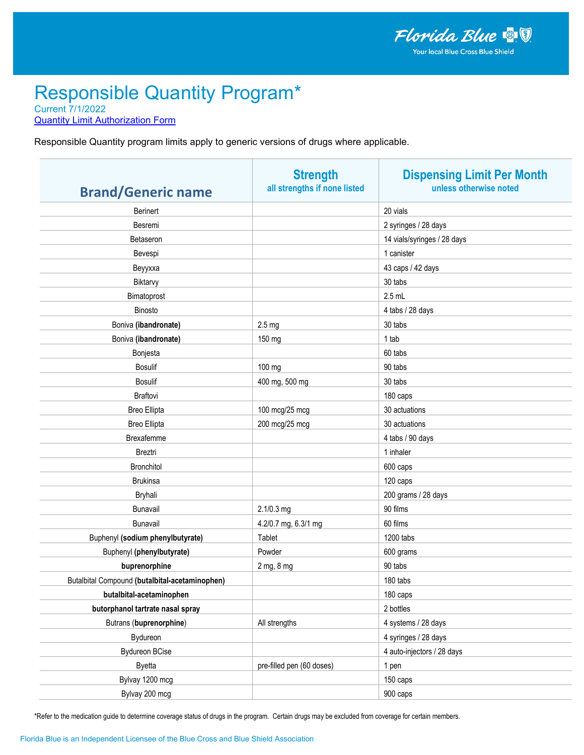**Quantity Limit Authorization Form** 

Responsible Quantity program limits apply to generic versions of drugs where applicable.

| <b>Brand/Generic name</b>                      | <b>Strength</b><br>all strengths if none listed | <b>Dispensing Limit Per Month</b><br>unless otherwise noted |
|------------------------------------------------|-------------------------------------------------|-------------------------------------------------------------|
| <b>Berinert</b>                                |                                                 | 20 vials                                                    |
| Besremi                                        |                                                 | 2 syringes / 28 days                                        |
| Betaseron                                      |                                                 | 14 vials/syringes / 28 days                                 |
| Bevespi                                        |                                                 | 1 canister                                                  |
| Веуухха                                        |                                                 | 43 caps / 42 days                                           |
| Biktarvy                                       |                                                 | 30 tabs                                                     |
| Bimatoprost                                    |                                                 | $2.5$ mL                                                    |
| Binosto                                        |                                                 | 4 tabs / 28 days                                            |
| Boniva (ibandronate)                           | 2.5 <sub>mg</sub>                               | 30 tabs                                                     |
| Boniva (ibandronate)                           | 150 mg                                          | 1 tab                                                       |
| Bonjesta                                       |                                                 | 60 tabs                                                     |
| <b>Bosulif</b>                                 | 100 mg                                          | 90 tabs                                                     |
| <b>Bosulif</b>                                 | 400 mg, 500 mg                                  | 30 tabs                                                     |
| Braftovi                                       |                                                 | 180 caps                                                    |
| <b>Breo Ellipta</b>                            | 100 mcg/25 mcg                                  | 30 actuations                                               |
| <b>Breo Ellipta</b>                            | 200 mcg/25 mcg                                  | 30 actuations                                               |
| Brexafemme                                     |                                                 | 4 tabs / 90 days                                            |
| Breztri                                        |                                                 | 1 inhaler                                                   |
| <b>Bronchitol</b>                              |                                                 | 600 caps                                                    |
| <b>Brukinsa</b>                                |                                                 | 120 caps                                                    |
| Bryhali                                        |                                                 | 200 grams / 28 days                                         |
| Bunavail                                       | 2.1/0.3 mg                                      | 90 films                                                    |
| Bunavail                                       | 4.2/0.7 mg, 6.3/1 mg                            | 60 films                                                    |
| Buphenyl (sodium phenylbutyrate)               | Tablet                                          | 1200 tabs                                                   |
| Buphenyl (phenylbutyrate)                      | Powder                                          | 600 grams                                                   |
| buprenorphine                                  | 2 mg, 8 mg                                      | 90 tabs                                                     |
| Butalbital Compound (butalbital-acetaminophen) |                                                 | 180 tabs                                                    |
| butalbital-acetaminophen                       |                                                 | 180 caps                                                    |
| butorphanol tartrate nasal spray               |                                                 | 2 bottles                                                   |
| Butrans (buprenorphine)                        | All strengths                                   | 4 systems / 28 days                                         |
| Bydureon                                       |                                                 | 4 syringes / 28 days                                        |
| <b>Bydureon BCise</b>                          |                                                 | 4 auto-injectors / 28 days                                  |
| <b>Byetta</b>                                  | pre-filled pen (60 doses)                       | 1 pen                                                       |
| Bylvay 1200 mcg                                |                                                 | 150 caps                                                    |
| Bylvay 200 mcg                                 |                                                 | 900 caps                                                    |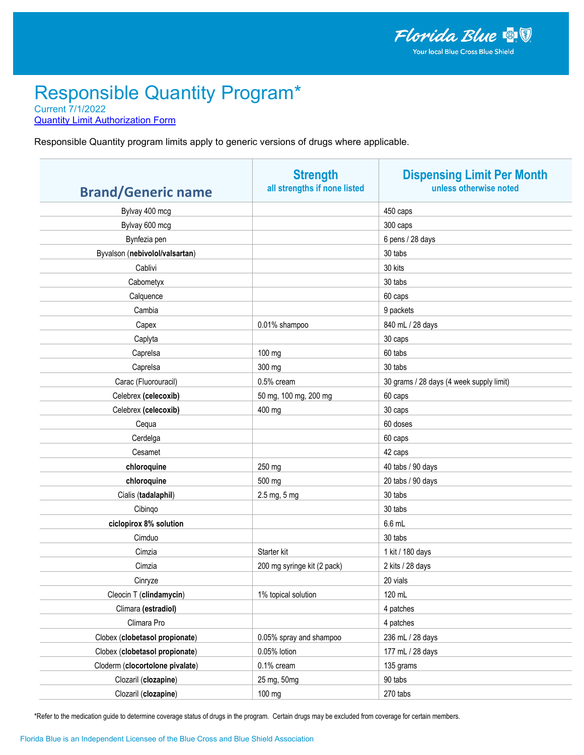**Quantity Limit Authorization Form** 

Responsible Quantity program limits apply to generic versions of drugs where applicable.

| <b>Brand/Generic name</b>       | <b>Strength</b><br>all strengths if none listed | <b>Dispensing Limit Per Month</b><br>unless otherwise noted |
|---------------------------------|-------------------------------------------------|-------------------------------------------------------------|
| Bylvay 400 mcg                  |                                                 | 450 caps                                                    |
| Bylvay 600 mcg                  |                                                 | 300 caps                                                    |
| Bynfezia pen                    |                                                 | 6 pens / 28 days                                            |
| Byvalson (nebivolol/valsartan)  |                                                 | 30 tabs                                                     |
| Cablivi                         |                                                 | 30 kits                                                     |
| Cabometyx                       |                                                 | 30 tabs                                                     |
| Calquence                       |                                                 | 60 caps                                                     |
| Cambia                          |                                                 | 9 packets                                                   |
| Capex                           | 0.01% shampoo                                   | 840 mL / 28 days                                            |
| Caplyta                         |                                                 | 30 caps                                                     |
| Caprelsa                        | 100 mg                                          | 60 tabs                                                     |
| Caprelsa                        | 300 mg                                          | 30 tabs                                                     |
| Carac (Fluorouracil)            | 0.5% cream                                      | 30 grams / 28 days (4 week supply limit)                    |
| Celebrex (celecoxib)            | 50 mg, 100 mg, 200 mg                           | 60 caps                                                     |
| Celebrex (celecoxib)            | 400 mg                                          | 30 caps                                                     |
| Cequa                           |                                                 | 60 doses                                                    |
| Cerdelga                        |                                                 | 60 caps                                                     |
| Cesamet                         |                                                 | 42 caps                                                     |
| chloroquine                     | 250 mg                                          | 40 tabs / 90 days                                           |
| chloroquine                     | 500 mg                                          | 20 tabs / 90 days                                           |
| Cialis (tadalaphil)             | 2.5 mg, 5 mg                                    | 30 tabs                                                     |
| Cibingo                         |                                                 | 30 tabs                                                     |
| ciclopirox 8% solution          |                                                 | 6.6 mL                                                      |
| Cimduo                          |                                                 | 30 tabs                                                     |
| Cimzia                          | Starter kit                                     | 1 kit / 180 days                                            |
| Cimzia                          | 200 mg syringe kit (2 pack)                     | 2 kits / 28 days                                            |
| Cinryze                         |                                                 | 20 vials                                                    |
| Cleocin T (clindamycin)         | 1% topical solution                             | 120 mL                                                      |
| Climara (estradiol)             |                                                 | 4 patches                                                   |
| Climara Pro                     |                                                 | 4 patches                                                   |
| Clobex (clobetasol propionate)  | 0.05% spray and shampoo                         | 236 mL / 28 days                                            |
| Clobex (clobetasol propionate)  | 0.05% lotion                                    | 177 mL / 28 days                                            |
| Cloderm (clocortolone pivalate) | 0.1% cream                                      | 135 grams                                                   |
| Clozaril (clozapine)            | 25 mg, 50mg                                     | 90 tabs                                                     |
| Clozaril (clozapine)            | 100 mg                                          | 270 tabs                                                    |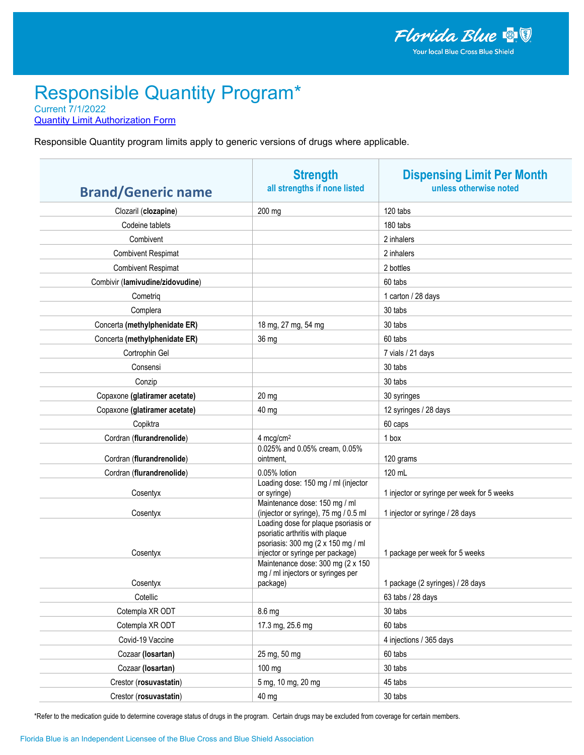**Quantity Limit Authorization Form** 

Responsible Quantity program limits apply to generic versions of drugs where applicable.

| <b>Brand/Generic name</b>        | <b>Strength</b><br>all strengths if none listed                                                                                                                                                                             | <b>Dispensing Limit Per Month</b><br>unless otherwise noted |
|----------------------------------|-----------------------------------------------------------------------------------------------------------------------------------------------------------------------------------------------------------------------------|-------------------------------------------------------------|
| Clozaril (clozapine)             | 200 mg                                                                                                                                                                                                                      | 120 tabs                                                    |
| Codeine tablets                  |                                                                                                                                                                                                                             | 180 tabs                                                    |
| Combivent                        |                                                                                                                                                                                                                             | 2 inhalers                                                  |
| <b>Combivent Respimat</b>        |                                                                                                                                                                                                                             | 2 inhalers                                                  |
| <b>Combivent Respimat</b>        |                                                                                                                                                                                                                             | 2 bottles                                                   |
| Combivir (lamivudine/zidovudine) |                                                                                                                                                                                                                             | 60 tabs                                                     |
| Cometrig                         |                                                                                                                                                                                                                             | 1 carton / 28 days                                          |
| Complera                         |                                                                                                                                                                                                                             | 30 tabs                                                     |
| Concerta (methylphenidate ER)    | 18 mg, 27 mg, 54 mg                                                                                                                                                                                                         | 30 tabs                                                     |
| Concerta (methylphenidate ER)    | 36 mg                                                                                                                                                                                                                       | 60 tabs                                                     |
| Cortrophin Gel                   |                                                                                                                                                                                                                             | 7 vials / 21 days                                           |
| Consensi                         |                                                                                                                                                                                                                             | 30 tabs                                                     |
| Conzip                           |                                                                                                                                                                                                                             | 30 tabs                                                     |
| Copaxone (glatiramer acetate)    | $20$ mg                                                                                                                                                                                                                     | 30 syringes                                                 |
| Copaxone (glatiramer acetate)    | 40 mg                                                                                                                                                                                                                       | 12 syringes / 28 days                                       |
| Copiktra                         |                                                                                                                                                                                                                             | 60 caps                                                     |
| Cordran (flurandrenolide)        | $4 \text{ mcg/cm}^2$                                                                                                                                                                                                        | 1 box                                                       |
|                                  | 0.025% and 0.05% cream, 0.05%                                                                                                                                                                                               |                                                             |
| Cordran (flurandrenolide)        | ointment,                                                                                                                                                                                                                   | 120 grams                                                   |
| Cordran (flurandrenolide)        | 0.05% lotion<br>Loading dose: 150 mg / ml (injector                                                                                                                                                                         | 120 mL                                                      |
| Cosentyx                         | or syringe)                                                                                                                                                                                                                 | 1 injector or syringe per week for 5 weeks                  |
| Cosentyx                         | Maintenance dose: 150 mg / ml<br>(injector or syringe), 75 mg / 0.5 ml                                                                                                                                                      | 1 injector or syringe / 28 days                             |
| Cosentyx                         | Loading dose for plaque psoriasis or<br>psoriatic arthritis with plaque<br>psoriasis: 300 mg (2 x 150 mg / ml<br>injector or syringe per package)<br>Maintenance dose: 300 mg (2 x 150<br>mg / ml injectors or syringes per | 1 package per week for 5 weeks                              |
| Cosentyx                         | package)                                                                                                                                                                                                                    | 1 package (2 syringes) / 28 days                            |
| Cotellic                         |                                                                                                                                                                                                                             | 63 tabs / 28 days                                           |
| Cotempla XR ODT                  | 8.6 mg                                                                                                                                                                                                                      | 30 tabs                                                     |
| Cotempla XR ODT                  | 17.3 mg, 25.6 mg                                                                                                                                                                                                            | 60 tabs                                                     |
| Covid-19 Vaccine                 |                                                                                                                                                                                                                             | 4 injections / 365 days                                     |
| Cozaar (losartan)                | 25 mg, 50 mg                                                                                                                                                                                                                | 60 tabs                                                     |
| Cozaar (losartan)                | 100 mg                                                                                                                                                                                                                      | 30 tabs                                                     |
| Crestor (rosuvastatin)           | 5 mg, 10 mg, 20 mg                                                                                                                                                                                                          | 45 tabs                                                     |
| Crestor (rosuvastatin)           | 40 mg                                                                                                                                                                                                                       | 30 tabs                                                     |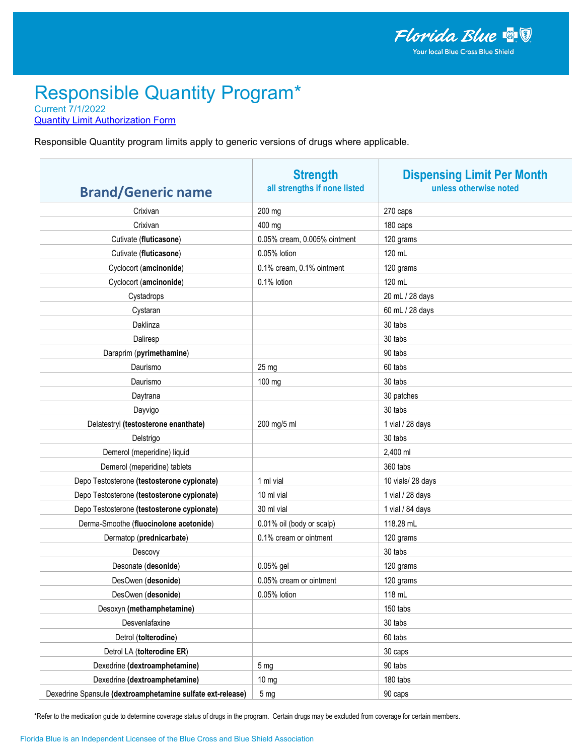**Quantity Limit Authorization Form** 

Responsible Quantity program limits apply to generic versions of drugs where applicable.

| <b>Brand/Generic name</b>                                  | <b>Strength</b><br>all strengths if none listed | <b>Dispensing Limit Per Month</b><br>unless otherwise noted |
|------------------------------------------------------------|-------------------------------------------------|-------------------------------------------------------------|
| Crixivan                                                   | 200 mg                                          | 270 caps                                                    |
| Crixivan                                                   | 400 mg                                          | 180 caps                                                    |
| Cutivate (fluticasone)                                     | 0.05% cream, 0.005% ointment                    | 120 grams                                                   |
| Cutivate (fluticasone)                                     | 0.05% lotion                                    | 120 mL                                                      |
| Cyclocort (amcinonide)                                     | 0.1% cream, 0.1% ointment                       | 120 grams                                                   |
| Cyclocort (amcinonide)                                     | 0.1% lotion                                     | 120 mL                                                      |
| Cystadrops                                                 |                                                 | 20 mL / 28 days                                             |
| Cystaran                                                   |                                                 | 60 mL / 28 days                                             |
| Daklinza                                                   |                                                 | 30 tabs                                                     |
| Daliresp                                                   |                                                 | 30 tabs                                                     |
| Daraprim (pyrimethamine)                                   |                                                 | 90 tabs                                                     |
| Daurismo                                                   | $25 \text{ mg}$                                 | 60 tabs                                                     |
| Daurismo                                                   | 100 mg                                          | 30 tabs                                                     |
| Daytrana                                                   |                                                 | 30 patches                                                  |
| Dayvigo                                                    |                                                 | 30 tabs                                                     |
| Delatestryl (testosterone enanthate)                       | 200 mg/5 ml                                     | 1 vial / 28 days                                            |
| Delstrigo                                                  |                                                 | 30 tabs                                                     |
| Demerol (meperidine) liquid                                |                                                 | 2,400 ml                                                    |
| Demerol (meperidine) tablets                               |                                                 | 360 tabs                                                    |
| Depo Testosterone (testosterone cypionate)                 | 1 ml vial                                       | 10 vials/28 days                                            |
| Depo Testosterone (testosterone cypionate)                 | 10 ml vial                                      | 1 vial / 28 days                                            |
| Depo Testosterone (testosterone cypionate)                 | 30 ml vial                                      | 1 vial / 84 days                                            |
| Derma-Smoothe (fluocinolone acetonide)                     | 0.01% oil (body or scalp)                       | 118.28 mL                                                   |
| Dermatop (prednicarbate)                                   | 0.1% cream or ointment                          | 120 grams                                                   |
| Descovy                                                    |                                                 | 30 tabs                                                     |
| Desonate (desonide)                                        | 0.05% gel                                       | 120 grams                                                   |
| DesOwen (desonide)                                         | 0.05% cream or ointment                         | 120 grams                                                   |
| DesOwen (desonide)                                         | 0.05% lotion                                    | 118 mL                                                      |
| Desoxyn (methamphetamine)                                  |                                                 | 150 tabs                                                    |
| Desvenlafaxine                                             |                                                 | 30 tabs                                                     |
| Detrol (tolterodine)                                       |                                                 | 60 tabs                                                     |
| Detrol LA (tolterodine ER)                                 |                                                 | 30 caps                                                     |
| Dexedrine (dextroamphetamine)                              | 5 <sub>mg</sub>                                 | 90 tabs                                                     |
| Dexedrine (dextroamphetamine)                              | 10 <sub>mg</sub>                                | 180 tabs                                                    |
| Dexedrine Spansule (dextroamphetamine sulfate ext-release) | 5 mg                                            | 90 caps                                                     |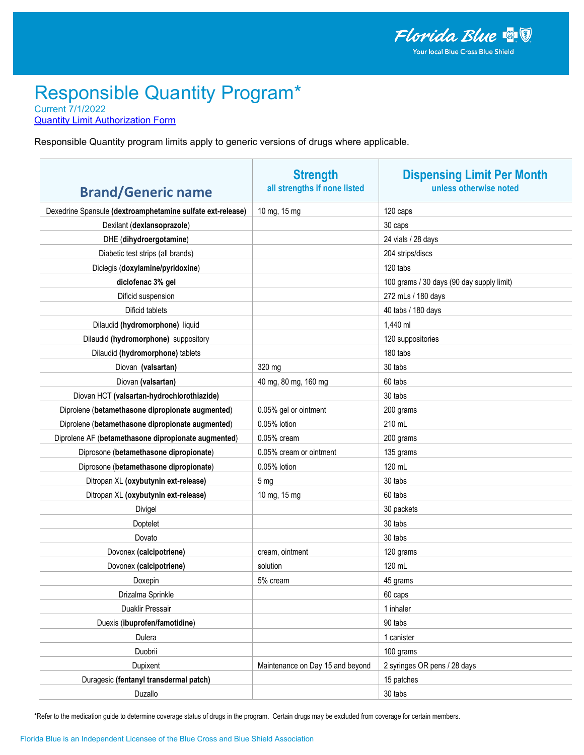**Quantity Limit Authorization Form** 

Responsible Quantity program limits apply to generic versions of drugs where applicable.

| <b>Brand/Generic name</b>                                  | <b>Strength</b><br>all strengths if none listed | <b>Dispensing Limit Per Month</b><br>unless otherwise noted |
|------------------------------------------------------------|-------------------------------------------------|-------------------------------------------------------------|
|                                                            |                                                 |                                                             |
| Dexedrine Spansule (dextroamphetamine sulfate ext-release) | 10 mg, 15 mg                                    | 120 caps                                                    |
| Dexilant (dexlansoprazole)                                 |                                                 | 30 caps                                                     |
| DHE (dihydroergotamine)                                    |                                                 | 24 vials / 28 days                                          |
| Diabetic test strips (all brands)                          |                                                 | 204 strips/discs                                            |
| Diclegis (doxylamine/pyridoxine)                           |                                                 | 120 tabs                                                    |
| diclofenac 3% gel                                          |                                                 | 100 grams / 30 days (90 day supply limit)                   |
| Dificid suspension                                         |                                                 | 272 mLs / 180 days                                          |
| Dificid tablets                                            |                                                 | 40 tabs / 180 days                                          |
| Dilaudid (hydromorphone) liquid                            |                                                 | 1,440 ml                                                    |
| Dilaudid (hydromorphone) suppository                       |                                                 | 120 suppositories                                           |
| Dilaudid (hydromorphone) tablets                           |                                                 | 180 tabs                                                    |
| Diovan (valsartan)                                         | 320 mg                                          | 30 tabs                                                     |
| Diovan (valsartan)                                         | 40 mg, 80 mg, 160 mg                            | 60 tabs                                                     |
| Diovan HCT (valsartan-hydrochlorothiazide)                 |                                                 | 30 tabs                                                     |
| Diprolene (betamethasone dipropionate augmented)           | 0.05% gel or ointment                           | 200 grams                                                   |
| Diprolene (betamethasone dipropionate augmented)           | 0.05% lotion                                    | 210 mL                                                      |
| Diprolene AF (betamethasone dipropionate augmented)        | $0.05%$ cream                                   | 200 grams                                                   |
| Diprosone (betamethasone dipropionate)                     | 0.05% cream or ointment                         | 135 grams                                                   |
| Diprosone (betamethasone dipropionate)                     | 0.05% lotion                                    | 120 mL                                                      |
| Ditropan XL (oxybutynin ext-release)                       | 5 <sub>mg</sub>                                 | 30 tabs                                                     |
| Ditropan XL (oxybutynin ext-release)                       | 10 mg, 15 mg                                    | 60 tabs                                                     |
| Divigel                                                    |                                                 | 30 packets                                                  |
| Doptelet                                                   |                                                 | 30 tabs                                                     |
| Dovato                                                     |                                                 | 30 tabs                                                     |
| Dovonex (calcipotriene)                                    | cream, ointment                                 | 120 grams                                                   |
| Dovonex (calcipotriene)                                    | solution                                        | 120 mL                                                      |
| Doxepin                                                    | 5% cream                                        | 45 grams                                                    |
| Drizalma Sprinkle                                          |                                                 | 60 caps                                                     |
| Duaklir Pressair                                           |                                                 | 1 inhaler                                                   |
| Duexis (ibuprofen/famotidine)                              |                                                 | 90 tabs                                                     |
| Dulera                                                     |                                                 | 1 canister                                                  |
| Duobrii                                                    |                                                 | 100 grams                                                   |
| Dupixent                                                   | Maintenance on Day 15 and beyond                | 2 syringes OR pens / 28 days                                |
| Duragesic (fentanyl transdermal patch)                     |                                                 | 15 patches                                                  |
| Duzallo                                                    |                                                 | 30 tabs                                                     |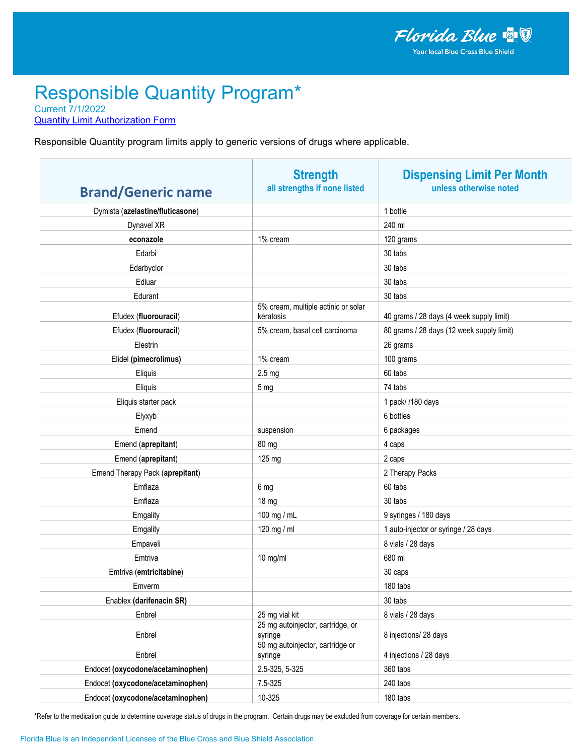**Quantity Limit Authorization Form** 

Responsible Quantity program limits apply to generic versions of drugs where applicable.

| <b>Brand/Generic name</b>         | <b>Strength</b><br>all strengths if none listed  | <b>Dispensing Limit Per Month</b><br>unless otherwise noted |
|-----------------------------------|--------------------------------------------------|-------------------------------------------------------------|
| Dymista (azelastine/fluticasone)  |                                                  | 1 bottle                                                    |
| Dynavel XR                        |                                                  | 240 ml                                                      |
| econazole                         | 1% cream                                         | 120 grams                                                   |
| Edarbi                            |                                                  | 30 tabs                                                     |
| Edarbyclor                        |                                                  | 30 tabs                                                     |
| Edluar                            |                                                  | 30 tabs                                                     |
| Edurant                           |                                                  | 30 tabs                                                     |
| Efudex (fluorouracil)             | 5% cream, multiple actinic or solar<br>keratosis | 40 grams / 28 days (4 week supply limit)                    |
| Efudex (fluorouracil)             | 5% cream, basal cell carcinoma                   | 80 grams / 28 days (12 week supply limit)                   |
| Elestrin                          |                                                  | 26 grams                                                    |
| Elidel (pimecrolimus)             | 1% cream                                         | 100 grams                                                   |
| Eliquis                           | 2.5 <sub>mg</sub>                                | 60 tabs                                                     |
| Eliquis                           | 5 mg                                             | 74 tabs                                                     |
| Eliquis starter pack              |                                                  | 1 pack/ /180 days                                           |
| Elyxyb                            |                                                  | 6 bottles                                                   |
| Emend                             | suspension                                       | 6 packages                                                  |
| Emend (aprepitant)                | 80 mg                                            | 4 caps                                                      |
| Emend (aprepitant)                | 125 mg                                           | 2 caps                                                      |
| Emend Therapy Pack (aprepitant)   |                                                  | 2 Therapy Packs                                             |
| Emflaza                           | 6 mg                                             | 60 tabs                                                     |
| Emflaza                           | 18 mg                                            | 30 tabs                                                     |
| Emgality                          | 100 mg / mL                                      | 9 syringes / 180 days                                       |
| Emgality                          | 120 mg / ml                                      | 1 auto-injector or syringe / 28 days                        |
| Empaveli                          |                                                  | 8 vials / 28 days                                           |
| Emtriva                           | 10 mg/ml                                         | 680 ml                                                      |
| Emtriva (emtricitabine)           |                                                  | 30 caps                                                     |
| Emverm                            |                                                  | 180 tabs                                                    |
| Enablex (darifenacin SR)          |                                                  | 30 tabs                                                     |
| Enbrel                            | 25 mg vial kit                                   | 8 vials / 28 days                                           |
| Enbrel                            | 25 mg autoinjector, cartridge, or<br>syringe     | 8 injections/ 28 days                                       |
| Enbrel                            | 50 mg autoinjector, cartridge or<br>syringe      | 4 injections / 28 days                                      |
| Endocet (oxycodone/acetaminophen) | 2.5-325, 5-325                                   | 360 tabs                                                    |
| Endocet (oxycodone/acetaminophen) | 7.5-325                                          | 240 tabs                                                    |
| Endocet (oxycodone/acetaminophen) | 10-325                                           | 180 tabs                                                    |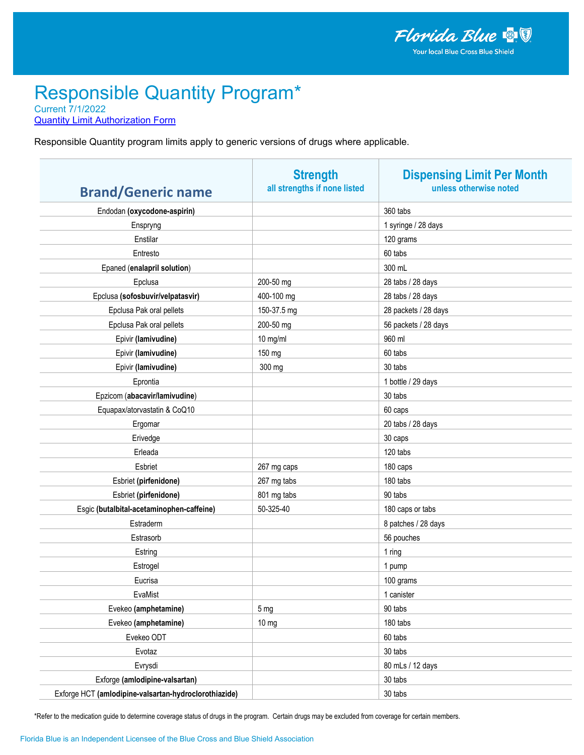**Quantity Limit Authorization Form** 

Responsible Quantity program limits apply to generic versions of drugs where applicable.

| <b>Brand/Generic name</b>                             | <b>Strength</b><br>all strengths if none listed | <b>Dispensing Limit Per Month</b><br>unless otherwise noted |
|-------------------------------------------------------|-------------------------------------------------|-------------------------------------------------------------|
| Endodan (oxycodone-aspirin)                           |                                                 | 360 tabs                                                    |
| Enspryng                                              |                                                 | 1 syringe / 28 days                                         |
| Enstilar                                              |                                                 | 120 grams                                                   |
| Entresto                                              |                                                 | 60 tabs                                                     |
| Epaned (enalapril solution)                           |                                                 | 300 mL                                                      |
| Epclusa                                               | 200-50 mg                                       | 28 tabs / 28 days                                           |
| Epclusa (sofosbuvir/velpatasvir)                      | 400-100 mg                                      | 28 tabs / 28 days                                           |
| Epclusa Pak oral pellets                              | 150-37.5 mg                                     | 28 packets / 28 days                                        |
| Epclusa Pak oral pellets                              | 200-50 mg                                       | 56 packets / 28 days                                        |
| Epivir (lamivudine)                                   | 10 mg/ml                                        | 960 ml                                                      |
| Epivir (lamivudine)                                   | 150 mg                                          | 60 tabs                                                     |
| Epivir (lamivudine)                                   | 300 mg                                          | 30 tabs                                                     |
| Eprontia                                              |                                                 | 1 bottle / 29 days                                          |
| Epzicom (abacavir/lamivudine)                         |                                                 | 30 tabs                                                     |
| Equapax/atorvastatin & CoQ10                          |                                                 | 60 caps                                                     |
| Ergomar                                               |                                                 | 20 tabs / 28 days                                           |
| Erivedge                                              |                                                 | 30 caps                                                     |
| Erleada                                               |                                                 | 120 tabs                                                    |
| Esbriet                                               | 267 mg caps                                     | 180 caps                                                    |
| Esbriet (pirfenidone)                                 | 267 mg tabs                                     | 180 tabs                                                    |
| Esbriet (pirfenidone)                                 | 801 mg tabs                                     | 90 tabs                                                     |
| Esgic (butalbital-acetaminophen-caffeine)             | 50-325-40                                       | 180 caps or tabs                                            |
| Estraderm                                             |                                                 | 8 patches / 28 days                                         |
| Estrasorb                                             |                                                 | 56 pouches                                                  |
| Estring                                               |                                                 | 1 ring                                                      |
| Estrogel                                              |                                                 | 1 pump                                                      |
| Eucrisa                                               |                                                 | 100 grams                                                   |
| EvaMist                                               |                                                 | 1 canister                                                  |
| Evekeo (amphetamine)                                  | 5 <sub>mg</sub>                                 | 90 tabs                                                     |
| Evekeo (amphetamine)                                  | 10 <sub>mg</sub>                                | 180 tabs                                                    |
| Evekeo ODT                                            |                                                 | 60 tabs                                                     |
| Evotaz                                                |                                                 | 30 tabs                                                     |
| Evrysdi                                               |                                                 | 80 mLs / 12 days                                            |
| Exforge (amlodipine-valsartan)                        |                                                 | 30 tabs                                                     |
| Exforge HCT (amlodipine-valsartan-hydroclorothiazide) |                                                 | 30 tabs                                                     |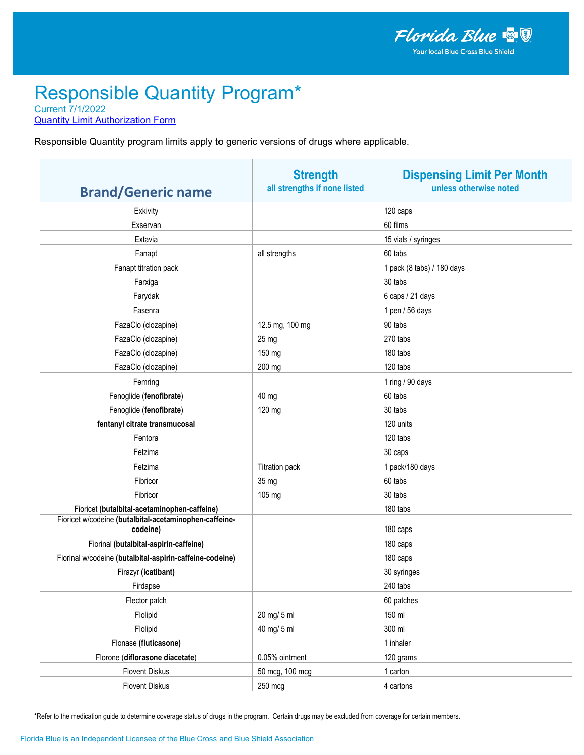**Quantity Limit Authorization Form** 

Responsible Quantity program limits apply to generic versions of drugs where applicable.

|                                                                    | <b>Strength</b>              | <b>Dispensing Limit Per Month</b> |
|--------------------------------------------------------------------|------------------------------|-----------------------------------|
| <b>Brand/Generic name</b>                                          | all strengths if none listed | unless otherwise noted            |
| Exkivity                                                           |                              | 120 caps                          |
| Exservan                                                           |                              | 60 films                          |
| Extavia                                                            |                              | 15 vials / syringes               |
| Fanapt                                                             | all strengths                | 60 tabs                           |
| Fanapt titration pack                                              |                              | 1 pack (8 tabs) / 180 days        |
| Farxiga                                                            |                              | 30 tabs                           |
| Farydak                                                            |                              | 6 caps / 21 days                  |
| Fasenra                                                            |                              | 1 pen / 56 days                   |
| FazaClo (clozapine)                                                | 12.5 mg, 100 mg              | 90 tabs                           |
| FazaClo (clozapine)                                                | 25 mg                        | 270 tabs                          |
| FazaClo (clozapine)                                                | 150 mg                       | 180 tabs                          |
| FazaClo (clozapine)                                                | 200 mg                       | 120 tabs                          |
| Femring                                                            |                              | 1 ring / 90 days                  |
| Fenoglide (fenofibrate)                                            | 40 mg                        | 60 tabs                           |
| Fenoglide (fenofibrate)                                            | 120 mg                       | 30 tabs                           |
| fentanyl citrate transmucosal                                      |                              | 120 units                         |
| Fentora                                                            |                              | 120 tabs                          |
| Fetzima                                                            |                              | 30 caps                           |
| Fetzima                                                            | <b>Titration pack</b>        | 1 pack/180 days                   |
| Fibricor                                                           | 35 mg                        | 60 tabs                           |
| Fibricor                                                           | 105 mg                       | 30 tabs                           |
| Fioricet (butalbital-acetaminophen-caffeine)                       |                              | 180 tabs                          |
| Fioricet w/codeine (butalbital-acetaminophen-caffeine-<br>codeine) |                              | 180 caps                          |
| Fiorinal (butalbital-aspirin-caffeine)                             |                              | 180 caps                          |
| Fiorinal w/codeine (butalbital-aspirin-caffeine-codeine)           |                              | 180 caps                          |
| Firazyr (icatibant)                                                |                              | 30 syringes                       |
| Firdapse                                                           |                              | 240 tabs                          |
| Flector patch                                                      |                              | 60 patches                        |
| Flolipid                                                           | 20 mg/ 5 ml                  | 150 ml                            |
| Flolipid                                                           | 40 mg/ 5 ml                  | 300 ml                            |
| Flonase (fluticasone)                                              |                              | 1 inhaler                         |
| Florone (diflorasone diacetate)                                    | 0.05% ointment               | 120 grams                         |
| <b>Flovent Diskus</b>                                              | 50 mcg, 100 mcg              | 1 carton                          |
| <b>Flovent Diskus</b>                                              | 250 mcg                      | 4 cartons                         |
|                                                                    |                              |                                   |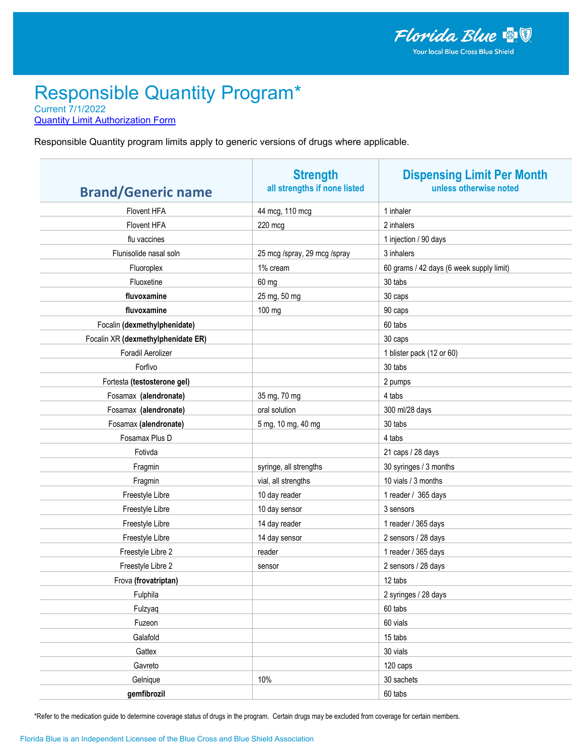**Quantity Limit Authorization Form** 

Responsible Quantity program limits apply to generic versions of drugs where applicable.

| <b>Brand/Generic name</b>          | <b>Strength</b><br>all strengths if none listed | <b>Dispensing Limit Per Month</b><br>unless otherwise noted |
|------------------------------------|-------------------------------------------------|-------------------------------------------------------------|
| Flovent HFA                        | 44 mcg, 110 mcg                                 | 1 inhaler                                                   |
| Flovent HFA                        | 220 mcg                                         | 2 inhalers                                                  |
| flu vaccines                       |                                                 | 1 injection / 90 days                                       |
| Flunisolide nasal soln             | 25 mcg /spray, 29 mcg /spray                    | 3 inhalers                                                  |
| Fluoroplex                         | 1% cream                                        | 60 grams / 42 days (6 week supply limit)                    |
| Fluoxetine                         | 60 mg                                           | 30 tabs                                                     |
| fluvoxamine                        | 25 mg, 50 mg                                    | 30 caps                                                     |
| fluvoxamine                        | 100 mg                                          | 90 caps                                                     |
| Focalin (dexmethylphenidate)       |                                                 | 60 tabs                                                     |
| Focalin XR (dexmethylphenidate ER) |                                                 | 30 caps                                                     |
| Foradil Aerolizer                  |                                                 | 1 blister pack (12 or 60)                                   |
| Forfivo                            |                                                 | 30 tabs                                                     |
| Fortesta (testosterone gel)        |                                                 | 2 pumps                                                     |
| Fosamax (alendronate)              | 35 mg, 70 mg                                    | 4 tabs                                                      |
| Fosamax (alendronate)              | oral solution                                   | 300 ml/28 days                                              |
| Fosamax (alendronate)              | 5 mg, 10 mg, 40 mg                              | 30 tabs                                                     |
| Fosamax Plus D                     |                                                 | 4 tabs                                                      |
| Fotivda                            |                                                 | 21 caps / 28 days                                           |
| Fragmin                            | syringe, all strengths                          | 30 syringes / 3 months                                      |
| Fragmin                            | vial, all strengths                             | 10 vials / 3 months                                         |
| Freestyle Libre                    | 10 day reader                                   | 1 reader / 365 days                                         |
| Freestyle Libre                    | 10 day sensor                                   | 3 sensors                                                   |
| Freestyle Libre                    | 14 day reader                                   | 1 reader / 365 days                                         |
| Freestyle Libre                    | 14 day sensor                                   | 2 sensors / 28 days                                         |
| Freestyle Libre 2                  | reader                                          | 1 reader / 365 days                                         |
| Freestyle Libre 2                  | sensor                                          | 2 sensors / 28 days                                         |
| Frova (frovatriptan)               |                                                 | 12 tabs                                                     |
| Fulphila                           |                                                 | 2 syringes / 28 days                                        |
| Fulzyaq                            |                                                 | 60 tabs                                                     |
| Fuzeon                             |                                                 | 60 vials                                                    |
| Galafold                           |                                                 | 15 tabs                                                     |
| Gattex                             |                                                 | 30 vials                                                    |
| Gavreto                            |                                                 | 120 caps                                                    |
| Gelnique                           | 10%                                             | 30 sachets                                                  |
| gemfibrozil                        |                                                 | 60 tabs                                                     |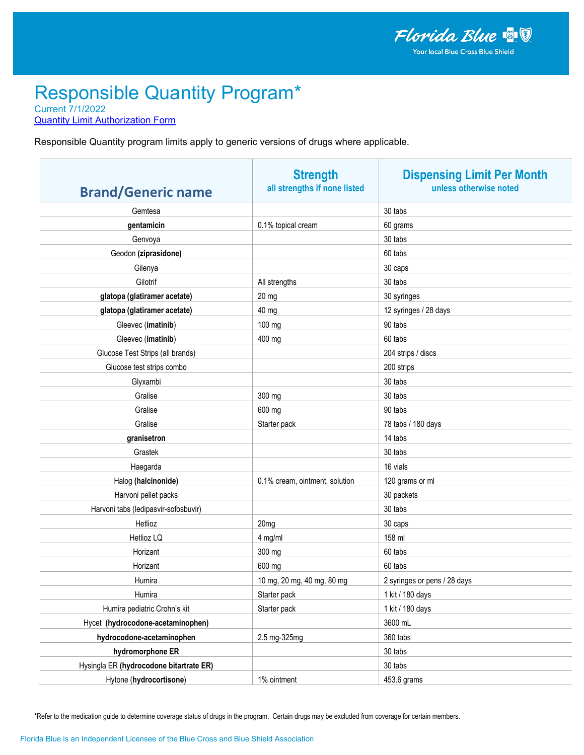**Quantity Limit Authorization Form** 

Responsible Quantity program limits apply to generic versions of drugs where applicable.

| <b>Brand/Generic name</b>               | <b>Strength</b><br>all strengths if none listed | <b>Dispensing Limit Per Month</b><br>unless otherwise noted |
|-----------------------------------------|-------------------------------------------------|-------------------------------------------------------------|
| Gemtesa                                 |                                                 | 30 tabs                                                     |
| gentamicin                              | 0.1% topical cream                              | 60 grams                                                    |
| Genvoya                                 |                                                 | 30 tabs                                                     |
| Geodon (ziprasidone)                    |                                                 | 60 tabs                                                     |
| Gilenya                                 |                                                 | 30 caps                                                     |
| Gilotrif                                | All strengths                                   | 30 tabs                                                     |
| glatopa (glatiramer acetate)            | 20 mg                                           | 30 syringes                                                 |
| glatopa (glatiramer acetate)            | 40 mg                                           | 12 syringes / 28 days                                       |
| Gleevec (imatinib)                      | 100 mg                                          | 90 tabs                                                     |
| Gleevec (imatinib)                      | 400 mg                                          | 60 tabs                                                     |
| Glucose Test Strips (all brands)        |                                                 | 204 strips / discs                                          |
| Glucose test strips combo               |                                                 | 200 strips                                                  |
| Glyxambi                                |                                                 | 30 tabs                                                     |
| Gralise                                 | 300 mg                                          | 30 tabs                                                     |
| Gralise                                 | 600 mg                                          | 90 tabs                                                     |
| Gralise                                 | Starter pack                                    | 78 tabs / 180 days                                          |
| granisetron                             |                                                 | 14 tabs                                                     |
| Grastek                                 |                                                 | 30 tabs                                                     |
| Haegarda                                |                                                 | 16 vials                                                    |
| Halog (halcinonide)                     | 0.1% cream, ointment, solution                  | 120 grams or ml                                             |
| Harvoni pellet packs                    |                                                 | 30 packets                                                  |
| Harvoni tabs (ledipasvir-sofosbuvir)    |                                                 | 30 tabs                                                     |
| Hetlioz                                 | 20mg                                            | 30 caps                                                     |
| Hetlioz LQ                              | 4 mg/ml                                         | 158 ml                                                      |
| Horizant                                | 300 mg                                          | 60 tabs                                                     |
| Horizant                                | 600 mg                                          | 60 tabs                                                     |
| Humira                                  | 10 mg, 20 mg, 40 mg, 80 mg                      | 2 syringes or pens / 28 days                                |
| Humira                                  | Starter pack                                    | 1 kit / 180 days                                            |
| Humira pediatric Crohn's kit            | Starter pack                                    | 1 kit / 180 days                                            |
| Hycet (hydrocodone-acetaminophen)       |                                                 | 3600 mL                                                     |
| hydrocodone-acetaminophen               | 2.5 mg-325mg                                    | 360 tabs                                                    |
| hydromorphone ER                        |                                                 | 30 tabs                                                     |
| Hysingla ER (hydrocodone bitartrate ER) |                                                 | 30 tabs                                                     |
| Hytone (hydrocortisone)                 | 1% ointment                                     | 453.6 grams                                                 |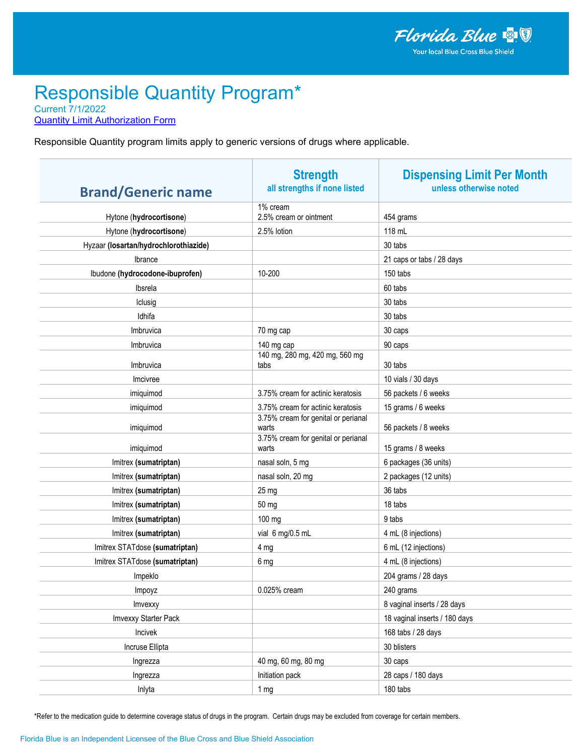**Quantity Limit Authorization Form** 

Responsible Quantity program limits apply to generic versions of drugs where applicable.

| <b>Brand/Generic name</b>             | <b>Strength</b><br>all strengths if none listed | <b>Dispensing Limit Per Month</b><br>unless otherwise noted |
|---------------------------------------|-------------------------------------------------|-------------------------------------------------------------|
| Hytone (hydrocortisone)               | 1% cream<br>2.5% cream or ointment              | 454 grams                                                   |
| Hytone (hydrocortisone)               | 2.5% lotion                                     | 118 mL                                                      |
| Hyzaar (losartan/hydrochlorothiazide) |                                                 | 30 tabs                                                     |
| Ibrance                               |                                                 | 21 caps or tabs / 28 days                                   |
| Ibudone (hydrocodone-ibuprofen)       | 10-200                                          | 150 tabs                                                    |
| Ibsrela                               |                                                 | 60 tabs                                                     |
| Iclusig                               |                                                 | 30 tabs                                                     |
| Idhifa                                |                                                 | 30 tabs                                                     |
| Imbruvica                             | 70 mg cap                                       | 30 caps                                                     |
| Imbruvica                             | 140 mg cap                                      | 90 caps                                                     |
| Imbruvica                             | 140 mg, 280 mg, 420 mg, 560 mg<br>tabs          | 30 tabs                                                     |
| Imcivree                              |                                                 | 10 vials / 30 days                                          |
| imiquimod                             | 3.75% cream for actinic keratosis               | 56 packets / 6 weeks                                        |
| imiquimod                             | 3.75% cream for actinic keratosis               | 15 grams / 6 weeks                                          |
| imiquimod                             | 3.75% cream for genital or perianal<br>warts    | 56 packets / 8 weeks                                        |
| imiquimod                             | 3.75% cream for genital or perianal<br>warts    | 15 grams / 8 weeks                                          |
| Imitrex (sumatriptan)                 | nasal soln, 5 mg                                | 6 packages (36 units)                                       |
| Imitrex (sumatriptan)                 | nasal soln, 20 mg                               | 2 packages (12 units)                                       |
| Imitrex (sumatriptan)                 | 25 mg                                           | 36 tabs                                                     |
| Imitrex (sumatriptan)                 | 50 mg                                           | 18 tabs                                                     |
| Imitrex (sumatriptan)                 | 100 mg                                          | 9 tabs                                                      |
| Imitrex (sumatriptan)                 | vial 6 mg/0.5 mL                                | 4 mL (8 injections)                                         |
| Imitrex STATdose (sumatriptan)        | 4 mg                                            | 6 mL (12 injections)                                        |
| Imitrex STATdose (sumatriptan)        | 6 mg                                            | 4 mL (8 injections)                                         |
| Impeklo                               |                                                 | 204 grams / 28 days                                         |
| Impoyz                                | 0.025% cream                                    | 240 grams                                                   |
| Imvexxy                               |                                                 | 8 vaginal inserts / 28 days                                 |
| Imvexxy Starter Pack                  |                                                 | 18 vaginal inserts / 180 days                               |
| Incivek                               |                                                 | 168 tabs / 28 days                                          |
| Incruse Ellipta                       |                                                 | 30 blisters                                                 |
| Ingrezza                              | 40 mg, 60 mg, 80 mg                             | 30 caps                                                     |
| Ingrezza                              | Initiation pack                                 | 28 caps / 180 days                                          |
| Inlyta                                | 1 <sub>mg</sub>                                 | 180 tabs                                                    |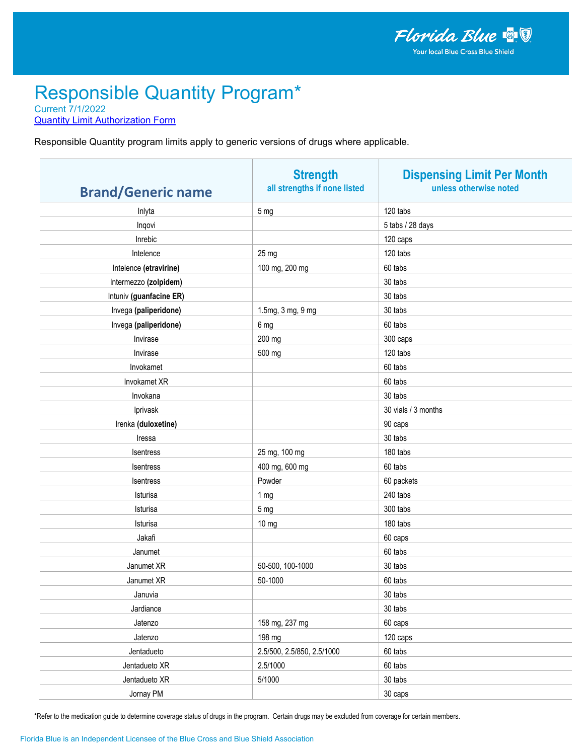**Quantity Limit Authorization Form** 

Responsible Quantity program limits apply to generic versions of drugs where applicable.

| <b>Brand/Generic name</b> | <b>Strength</b><br>all strengths if none listed | <b>Dispensing Limit Per Month</b><br>unless otherwise noted |
|---------------------------|-------------------------------------------------|-------------------------------------------------------------|
| Inlyta                    | 5 <sub>mg</sub>                                 | 120 tabs                                                    |
| Inqovi                    |                                                 | 5 tabs / 28 days                                            |
| Inrebic                   |                                                 | 120 caps                                                    |
| Intelence                 | 25 mg                                           | 120 tabs                                                    |
| Intelence (etravirine)    | 100 mg, 200 mg                                  | 60 tabs                                                     |
| Intermezzo (zolpidem)     |                                                 | 30 tabs                                                     |
| Intuniv (guanfacine ER)   |                                                 | 30 tabs                                                     |
| Invega (paliperidone)     | 1.5mg, 3 mg, 9 mg                               | 30 tabs                                                     |
| Invega (paliperidone)     | 6 mg                                            | 60 tabs                                                     |
| Invirase                  | 200 mg                                          | 300 caps                                                    |
| Invirase                  | 500 mg                                          | 120 tabs                                                    |
| Invokamet                 |                                                 | 60 tabs                                                     |
| Invokamet XR              |                                                 | 60 tabs                                                     |
| Invokana                  |                                                 | 30 tabs                                                     |
| Iprivask                  |                                                 | 30 vials / 3 months                                         |
| Irenka (duloxetine)       |                                                 | 90 caps                                                     |
| Iressa                    |                                                 | 30 tabs                                                     |
| Isentress                 | 25 mg, 100 mg                                   | 180 tabs                                                    |
| Isentress                 | 400 mg, 600 mg                                  | 60 tabs                                                     |
| Isentress                 | Powder                                          | 60 packets                                                  |
| Isturisa                  | 1 mg                                            | 240 tabs                                                    |
| Isturisa                  | 5 <sub>mg</sub>                                 | 300 tabs                                                    |
| Isturisa                  | 10 mg                                           | 180 tabs                                                    |
| Jakafi                    |                                                 | 60 caps                                                     |
| Janumet                   |                                                 | 60 tabs                                                     |
| Janumet XR                | 50-500, 100-1000                                | 30 tabs                                                     |
| Janumet XR                | 50-1000                                         | 60 tabs                                                     |
| Januvia                   |                                                 | 30 tabs                                                     |
| Jardiance                 |                                                 | 30 tabs                                                     |
| Jatenzo                   | 158 mg, 237 mg                                  | 60 caps                                                     |
| Jatenzo                   | 198 mg                                          | 120 caps                                                    |
| Jentadueto                | 2.5/500, 2.5/850, 2.5/1000                      | 60 tabs                                                     |
| Jentadueto XR             | 2.5/1000                                        | 60 tabs                                                     |
| Jentadueto XR             | 5/1000                                          | 30 tabs                                                     |
| Jornay PM                 |                                                 | 30 caps                                                     |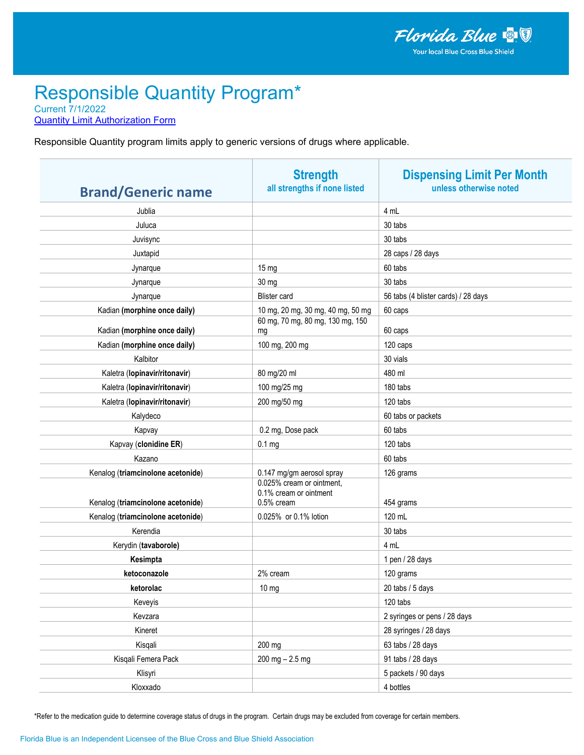**Quantity Limit Authorization Form** 

Responsible Quantity program limits apply to generic versions of drugs where applicable.

| <b>Brand/Generic name</b>         | <b>Strength</b><br>all strengths if none listed                   | <b>Dispensing Limit Per Month</b><br>unless otherwise noted |
|-----------------------------------|-------------------------------------------------------------------|-------------------------------------------------------------|
| Jublia                            |                                                                   | 4 mL                                                        |
| Juluca                            |                                                                   | 30 tabs                                                     |
| Juvisync                          |                                                                   | 30 tabs                                                     |
| Juxtapid                          |                                                                   | 28 caps / 28 days                                           |
| Jynarque                          | 15 mg                                                             | 60 tabs                                                     |
| Jynarque                          | 30 mg                                                             | 30 tabs                                                     |
| Jynarque                          | <b>Blister</b> card                                               | 56 tabs (4 blister cards) / 28 days                         |
| Kadian (morphine once daily)      | 10 mg, 20 mg, 30 mg, 40 mg, 50 mg                                 | 60 caps                                                     |
| Kadian (morphine once daily)      | 60 mg, 70 mg, 80 mg, 130 mg, 150<br>mg                            | 60 caps                                                     |
| Kadian (morphine once daily)      | 100 mg, 200 mg                                                    | 120 caps                                                    |
| Kalbitor                          |                                                                   | 30 vials                                                    |
| Kaletra (lopinavir/ritonavir)     | 80 mg/20 ml                                                       | 480 ml                                                      |
| Kaletra (lopinavir/ritonavir)     | 100 mg/25 mg                                                      | 180 tabs                                                    |
| Kaletra (lopinavir/ritonavir)     | 200 mg/50 mg                                                      | 120 tabs                                                    |
| Kalydeco                          |                                                                   | 60 tabs or packets                                          |
| Kapvay                            | 0.2 mg, Dose pack                                                 | 60 tabs                                                     |
| Kapvay (clonidine ER)             | 0.1 <sub>mg</sub>                                                 | 120 tabs                                                    |
| Kazano                            |                                                                   | 60 tabs                                                     |
| Kenalog (triamcinolone acetonide) | 0.147 mg/gm aerosol spray                                         | 126 grams                                                   |
| Kenalog (triamcinolone acetonide) | 0.025% cream or ointment,<br>0.1% cream or ointment<br>0.5% cream | 454 grams                                                   |
| Kenalog (triamcinolone acetonide) | 0.025% or 0.1% lotion                                             | 120 mL                                                      |
| Kerendia                          |                                                                   | 30 tabs                                                     |
| Kerydin (tavaborole)              |                                                                   | 4 mL                                                        |
| Kesimpta                          |                                                                   | 1 pen / 28 days                                             |
| ketoconazole                      | 2% cream                                                          | 120 grams                                                   |
| ketorolac                         | 10 mg                                                             | 20 tabs / 5 days                                            |
| Keveyis                           |                                                                   | 120 tabs                                                    |
| Kevzara                           |                                                                   | 2 syringes or pens / 28 days                                |
| Kineret                           |                                                                   | 28 syringes / 28 days                                       |
| Kisqali                           | 200 mg                                                            | 63 tabs / 28 days                                           |
| Kisqali Femera Pack               | $200$ mg $- 2.5$ mg                                               | 91 tabs / 28 days                                           |
| Klisyri                           |                                                                   | 5 packets / 90 days                                         |
| Kloxxado                          |                                                                   | 4 bottles                                                   |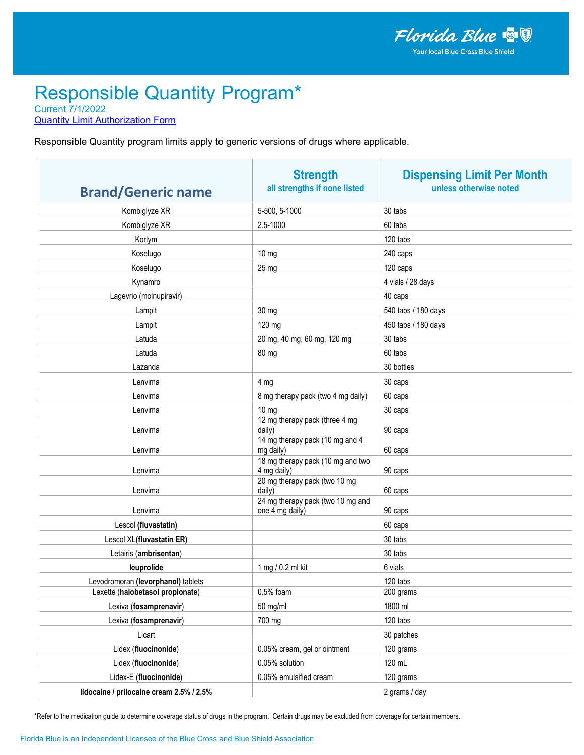**Quantity Limit Authorization Form** 

Responsible Quantity program limits apply to generic versions of drugs where applicable.

| <b>Brand/Generic name</b>                | <b>Strength</b><br>all strengths if none listed      | <b>Dispensing Limit Per Month</b><br>unless otherwise noted |
|------------------------------------------|------------------------------------------------------|-------------------------------------------------------------|
| Kombiglyze XR                            | 5-500, 5-1000                                        | 30 tabs                                                     |
| Kombiglyze XR                            | 2.5-1000                                             | 60 tabs                                                     |
| Korlym                                   |                                                      | 120 tabs                                                    |
| Koselugo                                 | $10 \text{ mg}$                                      | 240 caps                                                    |
| Koselugo                                 | 25 mg                                                | 120 caps                                                    |
| Kynamro                                  |                                                      | 4 vials / 28 days                                           |
| Lagevrio (molnupiravir)                  |                                                      | 40 caps                                                     |
| Lampit                                   | 30 mg                                                | 540 tabs / 180 days                                         |
| Lampit                                   | 120 mg                                               | 450 tabs / 180 days                                         |
| Latuda                                   | 20 mg, 40 mg, 60 mg, 120 mg                          | 30 tabs                                                     |
| Latuda                                   | 80 mg                                                | 60 tabs                                                     |
| Lazanda                                  |                                                      | 30 bottles                                                  |
| Lenvima                                  | 4 mg                                                 | 30 caps                                                     |
| Lenvima                                  | 8 mg therapy pack (two 4 mg daily)                   | 60 caps                                                     |
| Lenvima                                  | $10 \text{ mg}$                                      | 30 caps                                                     |
| Lenvima                                  | 12 mg therapy pack (three 4 mg<br>daily)             | 90 caps                                                     |
| Lenvima                                  | 14 mg therapy pack (10 mg and 4<br>mg daily)         | 60 caps                                                     |
| Lenvima                                  | 18 mg therapy pack (10 mg and two<br>4 mg daily)     | 90 caps                                                     |
| Lenvima                                  | 20 mg therapy pack (two 10 mg<br>daily)              | 60 caps                                                     |
| Lenvima                                  | 24 mg therapy pack (two 10 mg and<br>one 4 mg daily) | 90 caps                                                     |
| Lescol (fluvastatin)                     |                                                      | 60 caps                                                     |
| Lescol XL(fluvastatin ER)                |                                                      | 30 tabs                                                     |
| Letairis (ambrisentan)                   |                                                      | 30 tabs                                                     |
| leuprolide                               | 1 mg / 0.2 ml kit                                    | 6 vials                                                     |
| Levodromoran (levorphanol) tablets       |                                                      | 120 tabs                                                    |
| Lexette (halobetasol propionate)         | $0.5%$ foam                                          | 200 grams                                                   |
| Lexiva (fosamprenavir)                   | 50 mg/ml                                             | 1800 ml                                                     |
| Lexiva (fosamprenavir)                   | 700 mg                                               | 120 tabs                                                    |
| Licart                                   |                                                      | 30 patches                                                  |
| Lidex (fluocinonide)                     | 0.05% cream, gel or ointment                         | 120 grams                                                   |
| Lidex (fluocinonide)                     | 0.05% solution                                       | 120 mL                                                      |
| Lidex-E (fluocinonide)                   | 0.05% emulsified cream                               | 120 grams                                                   |
| lidocaine / prilocaine cream 2.5% / 2.5% |                                                      | 2 grams / day                                               |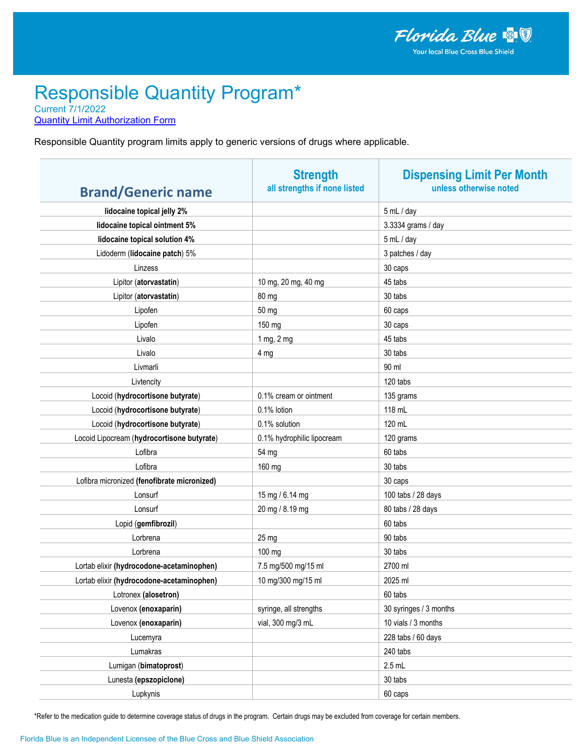**Quantity Limit Authorization Form** 

Responsible Quantity program limits apply to generic versions of drugs where applicable.

| <b>Brand/Generic name</b>                   | <b>Strength</b><br>all strengths if none listed | <b>Dispensing Limit Per Month</b><br>unless otherwise noted |
|---------------------------------------------|-------------------------------------------------|-------------------------------------------------------------|
| lidocaine topical jelly 2%                  |                                                 | 5 mL / day                                                  |
| lidocaine topical ointment 5%               |                                                 | 3.3334 grams / day                                          |
| lidocaine topical solution 4%               |                                                 | 5 mL / day                                                  |
| Lidoderm (lidocaine patch) 5%               |                                                 | 3 patches / day                                             |
| Linzess                                     |                                                 | 30 caps                                                     |
| Lipitor (atorvastatin)                      | 10 mg, 20 mg, 40 mg                             | 45 tabs                                                     |
| Lipitor (atorvastatin)                      | 80 mg                                           | 30 tabs                                                     |
| Lipofen                                     | 50 mg                                           | 60 caps                                                     |
| Lipofen                                     | 150 mg                                          | 30 caps                                                     |
| Livalo                                      | 1 mg, 2 mg                                      | 45 tabs                                                     |
| Livalo                                      | 4 mg                                            | 30 tabs                                                     |
| Livmarli                                    |                                                 | 90 ml                                                       |
| Livtencity                                  |                                                 | 120 tabs                                                    |
| Locoid (hydrocortisone butyrate)            | 0.1% cream or ointment                          | 135 grams                                                   |
| Locoid (hydrocortisone butyrate)            | 0.1% lotion                                     | 118 mL                                                      |
| Locoid (hydrocortisone butyrate)            | 0.1% solution                                   | 120 mL                                                      |
| Locoid Lipocream (hydrocortisone butyrate)  | 0.1% hydrophilic lipocream                      | 120 grams                                                   |
| Lofibra                                     | 54 mg                                           | 60 tabs                                                     |
| Lofibra                                     | 160 mg                                          | 30 tabs                                                     |
| Lofibra micronized (fenofibrate micronized) |                                                 | 30 caps                                                     |
| Lonsurf                                     | 15 mg / 6.14 mg                                 | 100 tabs / 28 days                                          |
| Lonsurf                                     | 20 mg / 8.19 mg                                 | 80 tabs / 28 days                                           |
| Lopid (gemfibrozil)                         |                                                 | 60 tabs                                                     |
| Lorbrena                                    | $25 \text{ mg}$                                 | 90 tabs                                                     |
| Lorbrena                                    | 100 mg                                          | 30 tabs                                                     |
| Lortab elixir (hydrocodone-acetaminophen)   | 7.5 mg/500 mg/15 ml                             | 2700 ml                                                     |
| Lortab elixir (hydrocodone-acetaminophen)   | 10 mg/300 mg/15 ml                              | 2025 ml                                                     |
| Lotronex (alosetron)                        |                                                 | 60 tabs                                                     |
| Lovenox (enoxaparin)                        | syringe, all strengths                          | 30 syringes / 3 months                                      |
| Lovenox (enoxaparin)                        | vial, 300 mg/3 mL                               | 10 vials / 3 months                                         |
| Lucemyra                                    |                                                 | 228 tabs / 60 days                                          |
| Lumakras                                    |                                                 | 240 tabs                                                    |
| Lumigan (bimatoprost)                       |                                                 | $2.5$ mL                                                    |
| Lunesta (epszopiclone)                      |                                                 | 30 tabs                                                     |
| Lupkynis                                    |                                                 | 60 caps                                                     |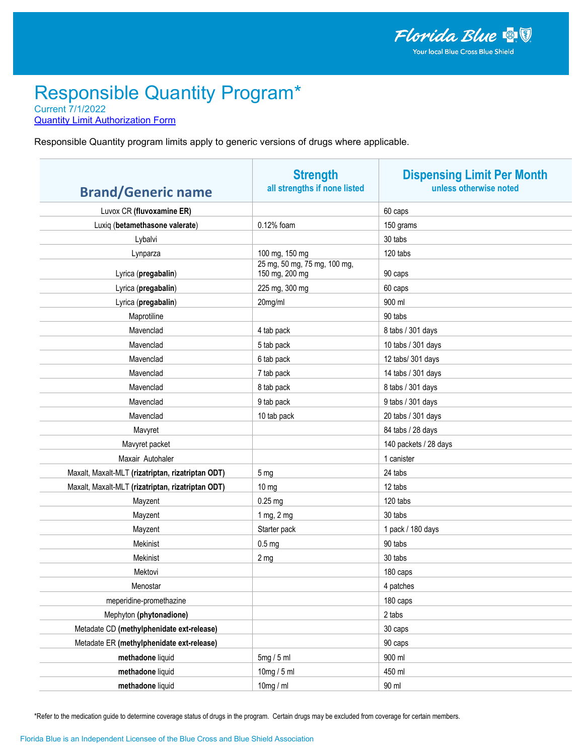**Quantity Limit Authorization Form** 

Responsible Quantity program limits apply to generic versions of drugs where applicable.

| <b>Brand/Generic name</b>                         | <b>Strength</b><br>all strengths if none listed | <b>Dispensing Limit Per Month</b><br>unless otherwise noted |
|---------------------------------------------------|-------------------------------------------------|-------------------------------------------------------------|
| Luvox CR (fluvoxamine ER)                         |                                                 | 60 caps                                                     |
| Luxiq (betamethasone valerate)                    | 0.12% foam                                      | 150 grams                                                   |
| Lybalvi                                           |                                                 | 30 tabs                                                     |
| Lynparza                                          | 100 mg, 150 mg                                  | 120 tabs                                                    |
| Lyrica (pregabalin)                               | 25 mg, 50 mg, 75 mg, 100 mg,<br>150 mg, 200 mg  | 90 caps                                                     |
| Lyrica (pregabalin)                               | 225 mg, 300 mg                                  | 60 caps                                                     |
| Lyrica (pregabalin)                               | 20mg/ml                                         | 900 ml                                                      |
| Maprotiline                                       |                                                 | 90 tabs                                                     |
| Mavenclad                                         | 4 tab pack                                      | 8 tabs / 301 days                                           |
| Mavenclad                                         | 5 tab pack                                      | 10 tabs / 301 days                                          |
| Mavenclad                                         | 6 tab pack                                      | 12 tabs/ 301 days                                           |
| Mavenclad                                         | 7 tab pack                                      | 14 tabs / 301 days                                          |
| Mavenclad                                         | 8 tab pack                                      | 8 tabs / 301 days                                           |
| Mavenclad                                         | 9 tab pack                                      | 9 tabs / 301 days                                           |
| Mavenclad                                         | 10 tab pack                                     | 20 tabs / 301 days                                          |
| Mavyret                                           |                                                 | 84 tabs / 28 days                                           |
| Mavyret packet                                    |                                                 | 140 packets / 28 days                                       |
| Maxair Autohaler                                  |                                                 | 1 canister                                                  |
| Maxalt, Maxalt-MLT (rizatriptan, rizatriptan ODT) | 5 <sub>mg</sub>                                 | 24 tabs                                                     |
| Maxalt, Maxalt-MLT (rizatriptan, rizatriptan ODT) | $10 \text{ mg}$                                 | 12 tabs                                                     |
| Mayzent                                           | $0.25$ mg                                       | 120 tabs                                                    |
| Mayzent                                           | 1 mg, 2 mg                                      | 30 tabs                                                     |
| Mayzent                                           | Starter pack                                    | 1 pack / 180 days                                           |
| Mekinist                                          | 0.5 <sub>mg</sub>                               | 90 tabs                                                     |
| Mekinist                                          | 2 <sub>mg</sub>                                 | 30 tabs                                                     |
| Mektovi                                           |                                                 | 180 caps                                                    |
| Menostar                                          |                                                 | 4 patches                                                   |
| meperidine-promethazine                           |                                                 | 180 caps                                                    |
| Mephyton (phytonadione)                           |                                                 | 2 tabs                                                      |
| Metadate CD (methylphenidate ext-release)         |                                                 | 30 caps                                                     |
| Metadate ER (methylphenidate ext-release)         |                                                 | 90 caps                                                     |
| methadone liquid                                  | 5mg/5ml                                         | 900 ml                                                      |
| methadone liquid                                  | 10mg / 5 ml                                     | 450 ml                                                      |
| methadone liquid                                  | 10 $mg/ml$                                      | 90 ml                                                       |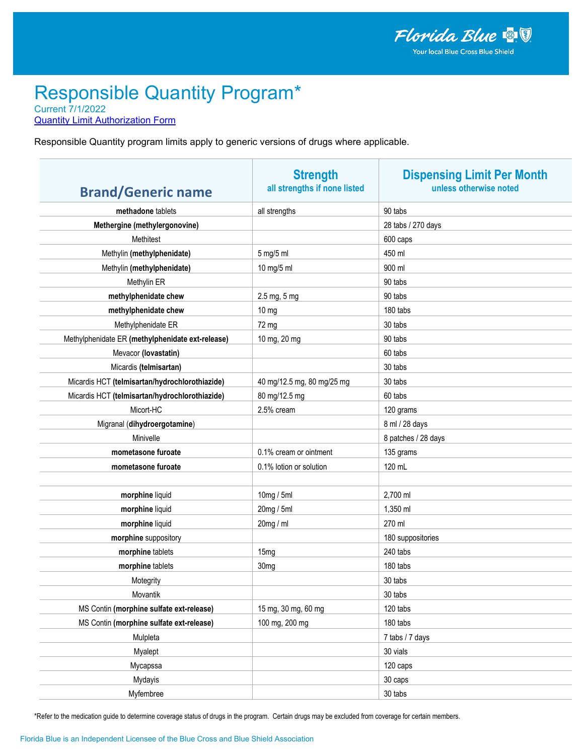**Quantity Limit Authorization Form** 

Responsible Quantity program limits apply to generic versions of drugs where applicable.

| <b>Brand/Generic name</b>                        | <b>Strength</b><br>all strengths if none listed | <b>Dispensing Limit Per Month</b><br>unless otherwise noted |
|--------------------------------------------------|-------------------------------------------------|-------------------------------------------------------------|
| methadone tablets                                | all strengths                                   | 90 tabs                                                     |
| Methergine (methylergonovine)                    |                                                 | 28 tabs / 270 days                                          |
| Methitest                                        |                                                 | 600 caps                                                    |
| Methylin (methylphenidate)                       | 5 mg/5 ml                                       | 450 ml                                                      |
| Methylin (methylphenidate)                       | 10 mg/5 ml                                      | 900 ml                                                      |
| Methylin ER                                      |                                                 | 90 tabs                                                     |
| methylphenidate chew                             | 2.5 mg, 5 mg                                    | 90 tabs                                                     |
| methylphenidate chew                             | 10 <sub>mg</sub>                                | 180 tabs                                                    |
| Methylphenidate ER                               | 72 mg                                           | 30 tabs                                                     |
| Methylphenidate ER (methylphenidate ext-release) | 10 mg, 20 mg                                    | 90 tabs                                                     |
| Mevacor (lovastatin)                             |                                                 | 60 tabs                                                     |
| Micardis (telmisartan)                           |                                                 | 30 tabs                                                     |
| Micardis HCT (telmisartan/hydrochlorothiazide)   | 40 mg/12.5 mg, 80 mg/25 mg                      | 30 tabs                                                     |
| Micardis HCT (telmisartan/hydrochlorothiazide)   | 80 mg/12.5 mg                                   | 60 tabs                                                     |
| Micort-HC                                        | 2.5% cream                                      | 120 grams                                                   |
| Migranal (dihydroergotamine)                     |                                                 | 8 ml / 28 days                                              |
| Minivelle                                        |                                                 | 8 patches / 28 days                                         |
| mometasone furoate                               | 0.1% cream or ointment                          | 135 grams                                                   |
| mometasone furoate                               | 0.1% lotion or solution                         | 120 mL                                                      |
|                                                  |                                                 |                                                             |
| morphine liquid                                  | 10mg / 5ml                                      | 2,700 ml                                                    |
| morphine liquid                                  | 20mg / 5ml                                      | 1,350 ml                                                    |
| morphine liquid                                  | 20mg / ml                                       | 270 ml                                                      |
| morphine suppository                             |                                                 | 180 suppositories                                           |
| morphine tablets                                 | 15 <sub>mg</sub>                                | 240 tabs                                                    |
| morphine tablets                                 | 30 <sub>mg</sub>                                | 180 tabs                                                    |
| Motegrity                                        |                                                 | 30 tabs                                                     |
| Movantik                                         |                                                 | 30 tabs                                                     |
| MS Contin (morphine sulfate ext-release)         | 15 mg, 30 mg, 60 mg                             | 120 tabs                                                    |
| MS Contin (morphine sulfate ext-release)         | 100 mg, 200 mg                                  | 180 tabs                                                    |
| Mulpleta                                         |                                                 | 7 tabs / 7 days                                             |
| Myalept                                          |                                                 | 30 vials                                                    |
| Mycapssa                                         |                                                 | 120 caps                                                    |
| Mydayis                                          |                                                 | 30 caps                                                     |
| Myfembree                                        |                                                 | 30 tabs                                                     |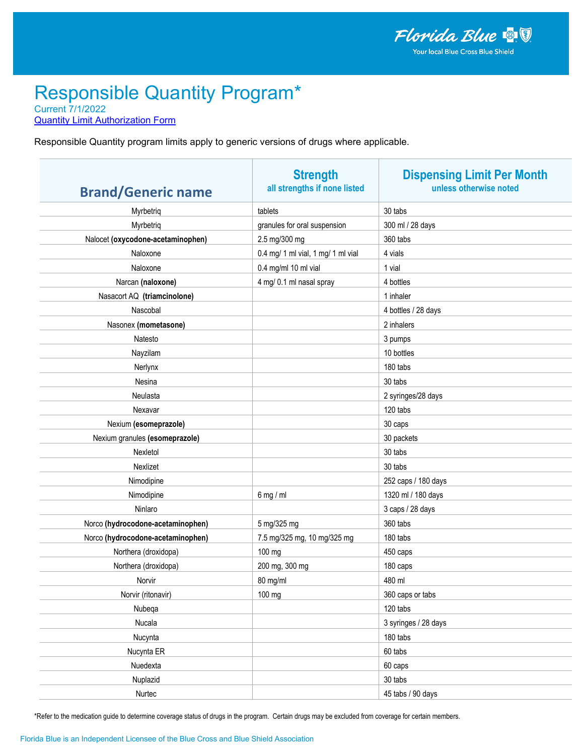**Quantity Limit Authorization Form** 

Responsible Quantity program limits apply to generic versions of drugs where applicable.

| <b>Brand/Generic name</b>         | <b>Strength</b><br>all strengths if none listed | <b>Dispensing Limit Per Month</b><br>unless otherwise noted |
|-----------------------------------|-------------------------------------------------|-------------------------------------------------------------|
| Myrbetriq                         | tablets                                         | 30 tabs                                                     |
| Myrbetriq                         | granules for oral suspension                    | 300 ml / 28 days                                            |
| Nalocet (oxycodone-acetaminophen) | 2.5 mg/300 mg                                   | 360 tabs                                                    |
| Naloxone                          | 0.4 mg/ 1 ml vial, 1 mg/ 1 ml vial              | 4 vials                                                     |
| Naloxone                          | 0.4 mg/ml 10 ml vial                            | 1 vial                                                      |
| Narcan (naloxone)                 | 4 mg/ 0.1 ml nasal spray                        | 4 bottles                                                   |
| Nasacort AQ (triamcinolone)       |                                                 | 1 inhaler                                                   |
| Nascobal                          |                                                 | 4 bottles / 28 days                                         |
| Nasonex (mometasone)              |                                                 | 2 inhalers                                                  |
| Natesto                           |                                                 | 3 pumps                                                     |
| Nayzilam                          |                                                 | 10 bottles                                                  |
| Nerlynx                           |                                                 | 180 tabs                                                    |
| Nesina                            |                                                 | 30 tabs                                                     |
| Neulasta                          |                                                 | 2 syringes/28 days                                          |
| Nexavar                           |                                                 | 120 tabs                                                    |
| Nexium (esomeprazole)             |                                                 | 30 caps                                                     |
| Nexium granules (esomeprazole)    |                                                 | 30 packets                                                  |
| Nexletol                          |                                                 | 30 tabs                                                     |
| Nexlizet                          |                                                 | 30 tabs                                                     |
| Nimodipine                        |                                                 | 252 caps / 180 days                                         |
| Nimodipine                        | $6$ mg / ml                                     | 1320 ml / 180 days                                          |
| Ninlaro                           |                                                 | 3 caps / 28 days                                            |
| Norco (hydrocodone-acetaminophen) | 5 mg/325 mg                                     | 360 tabs                                                    |
| Norco (hydrocodone-acetaminophen) | 7.5 mg/325 mg, 10 mg/325 mg                     | 180 tabs                                                    |
| Northera (droxidopa)              | 100 mg                                          | 450 caps                                                    |
| Northera (droxidopa)              | 200 mg, 300 mg                                  | 180 caps                                                    |
| Norvir                            | 80 mg/ml                                        | 480 ml                                                      |
| Norvir (ritonavir)                | 100 mg                                          | 360 caps or tabs                                            |
| Nubeqa                            |                                                 | 120 tabs                                                    |
| Nucala                            |                                                 | 3 syringes / 28 days                                        |
| Nucynta                           |                                                 | 180 tabs                                                    |
| Nucynta ER                        |                                                 | 60 tabs                                                     |
| Nuedexta                          |                                                 | 60 caps                                                     |
| Nuplazid                          |                                                 | 30 tabs                                                     |
| Nurtec                            |                                                 | 45 tabs / 90 days                                           |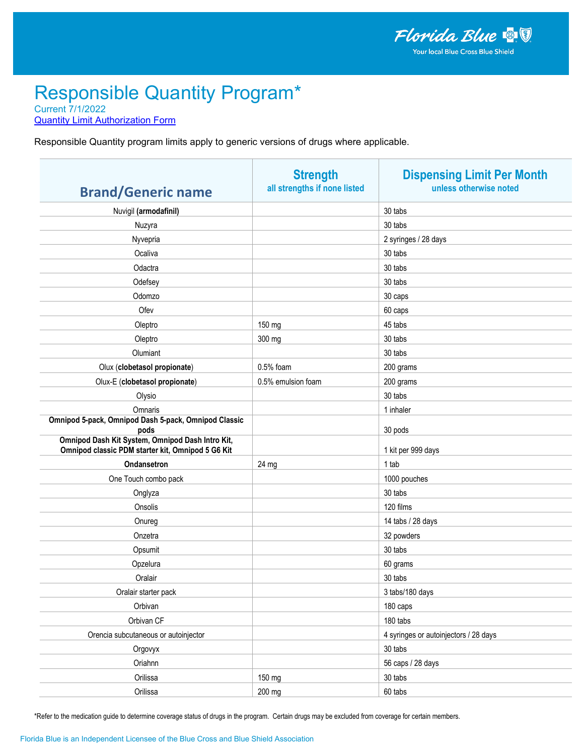**Quantity Limit Authorization Form** 

Responsible Quantity program limits apply to generic versions of drugs where applicable.

| <b>Brand/Generic name</b>                                                                                     | <b>Strength</b><br>all strengths if none listed | <b>Dispensing Limit Per Month</b><br>unless otherwise noted |
|---------------------------------------------------------------------------------------------------------------|-------------------------------------------------|-------------------------------------------------------------|
| Nuvigil (armodafinil)                                                                                         |                                                 | 30 tabs                                                     |
| Nuzyra                                                                                                        |                                                 | 30 tabs                                                     |
| Nyvepria                                                                                                      |                                                 | 2 syringes / 28 days                                        |
| Ocaliva                                                                                                       |                                                 | 30 tabs                                                     |
| Odactra                                                                                                       |                                                 | 30 tabs                                                     |
| Odefsey                                                                                                       |                                                 | 30 tabs                                                     |
| Odomzo                                                                                                        |                                                 | 30 caps                                                     |
| Ofev                                                                                                          |                                                 | 60 caps                                                     |
| Oleptro                                                                                                       | 150 mg                                          | 45 tabs                                                     |
| Oleptro                                                                                                       | 300 mg                                          | 30 tabs                                                     |
| Olumiant                                                                                                      |                                                 | 30 tabs                                                     |
| Olux (clobetasol propionate)                                                                                  | $0.5%$ foam                                     | 200 grams                                                   |
| Olux-E (clobetasol propionate)                                                                                | 0.5% emulsion foam                              | 200 grams                                                   |
| Olysio                                                                                                        |                                                 | 30 tabs                                                     |
| Omnaris                                                                                                       |                                                 | 1 inhaler                                                   |
| Omnipod 5-pack, Omnipod Dash 5-pack, Omnipod Classic                                                          |                                                 |                                                             |
| pods<br>Omnipod Dash Kit System, Omnipod Dash Intro Kit,<br>Omnipod classic PDM starter kit, Omnipod 5 G6 Kit |                                                 | 30 pods<br>1 kit per 999 days                               |
| Ondansetron                                                                                                   | 24 mg                                           | 1 tab                                                       |
| One Touch combo pack                                                                                          |                                                 | 1000 pouches                                                |
| Onglyza                                                                                                       |                                                 | 30 tabs                                                     |
| Onsolis                                                                                                       |                                                 | 120 films                                                   |
| Onureg                                                                                                        |                                                 | 14 tabs / 28 days                                           |
| Onzetra                                                                                                       |                                                 | 32 powders                                                  |
| Opsumit                                                                                                       |                                                 | 30 tabs                                                     |
| Opzelura                                                                                                      |                                                 | 60 grams                                                    |
| Oralair                                                                                                       |                                                 | 30 tabs                                                     |
| Oralair starter pack                                                                                          |                                                 | 3 tabs/180 days                                             |
| Orbivan                                                                                                       |                                                 | 180 caps                                                    |
| Orbivan CF                                                                                                    |                                                 | 180 tabs                                                    |
| Orencia subcutaneous or autoinjector                                                                          |                                                 | 4 syringes or autoinjectors / 28 days                       |
| Orgovyx                                                                                                       |                                                 | 30 tabs                                                     |
| Oriahnn                                                                                                       |                                                 | 56 caps / 28 days                                           |
| Orilissa                                                                                                      | 150 mg                                          | 30 tabs                                                     |
| Orilissa                                                                                                      | 200 mg                                          | 60 tabs                                                     |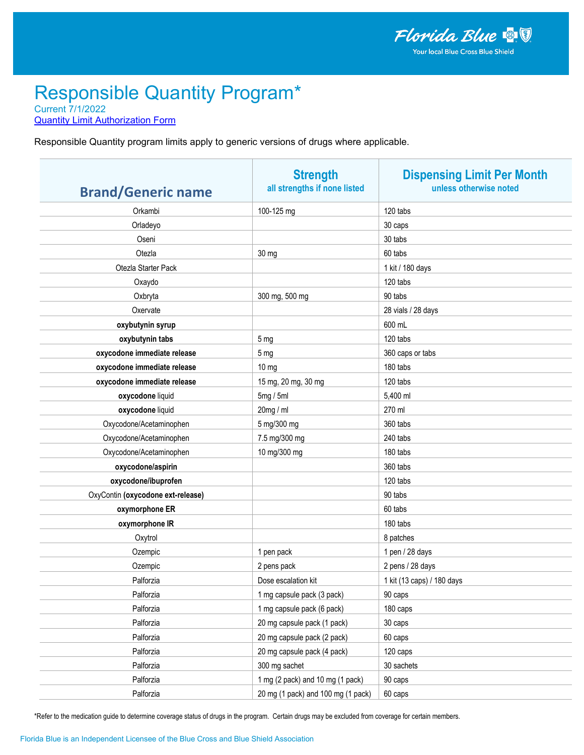**Quantity Limit Authorization Form** 

Responsible Quantity program limits apply to generic versions of drugs where applicable.

| <b>Brand/Generic name</b>         | <b>Strength</b><br>all strengths if none listed | <b>Dispensing Limit Per Month</b><br>unless otherwise noted |
|-----------------------------------|-------------------------------------------------|-------------------------------------------------------------|
| Orkambi                           | 100-125 mg                                      | 120 tabs                                                    |
| Orladeyo                          |                                                 | 30 caps                                                     |
| Oseni                             |                                                 | 30 tabs                                                     |
| Otezla                            | 30 mg                                           | 60 tabs                                                     |
| Otezla Starter Pack               |                                                 | 1 kit / 180 days                                            |
| Oxaydo                            |                                                 | 120 tabs                                                    |
| Oxbryta                           | 300 mg, 500 mg                                  | 90 tabs                                                     |
| Oxervate                          |                                                 | 28 vials / 28 days                                          |
| oxybutynin syrup                  |                                                 | 600 mL                                                      |
| oxybutynin tabs                   | 5 <sub>mg</sub>                                 | 120 tabs                                                    |
| oxycodone immediate release       | 5 <sub>mg</sub>                                 | 360 caps or tabs                                            |
| oxycodone immediate release       | $10 \text{ mg}$                                 | 180 tabs                                                    |
| oxycodone immediate release       | 15 mg, 20 mg, 30 mg                             | 120 tabs                                                    |
| oxycodone liquid                  | 5mg/5ml                                         | 5,400 ml                                                    |
| oxycodone liquid                  | 20mg / ml                                       | 270 ml                                                      |
| Oxycodone/Acetaminophen           | 5 mg/300 mg                                     | 360 tabs                                                    |
| Oxycodone/Acetaminophen           | 7.5 mg/300 mg                                   | 240 tabs                                                    |
| Oxycodone/Acetaminophen           | 10 mg/300 mg                                    | 180 tabs                                                    |
| oxycodone/aspirin                 |                                                 | 360 tabs                                                    |
| oxycodone/ibuprofen               |                                                 | 120 tabs                                                    |
| OxyContin (oxycodone ext-release) |                                                 | 90 tabs                                                     |
| oxymorphone ER                    |                                                 | 60 tabs                                                     |
| oxymorphone IR                    |                                                 | 180 tabs                                                    |
| Oxytrol                           |                                                 | 8 patches                                                   |
| Ozempic                           | 1 pen pack                                      | 1 pen / 28 days                                             |
| Ozempic                           | 2 pens pack                                     | 2 pens / 28 days                                            |
| Palforzia                         | Dose escalation kit                             | 1 kit (13 caps) / 180 days                                  |
| Palforzia                         | 1 mg capsule pack (3 pack)                      | 90 caps                                                     |
| Palforzia                         | 1 mg capsule pack (6 pack)                      | 180 caps                                                    |
| Palforzia                         | 20 mg capsule pack (1 pack)                     | 30 caps                                                     |
| Palforzia                         | 20 mg capsule pack (2 pack)                     | 60 caps                                                     |
| Palforzia                         | 20 mg capsule pack (4 pack)                     | 120 caps                                                    |
| Palforzia                         | 300 mg sachet                                   | 30 sachets                                                  |
| Palforzia                         | 1 mg (2 pack) and 10 mg (1 pack)                | 90 caps                                                     |
| Palforzia                         | 20 mg (1 pack) and 100 mg (1 pack)              | 60 caps                                                     |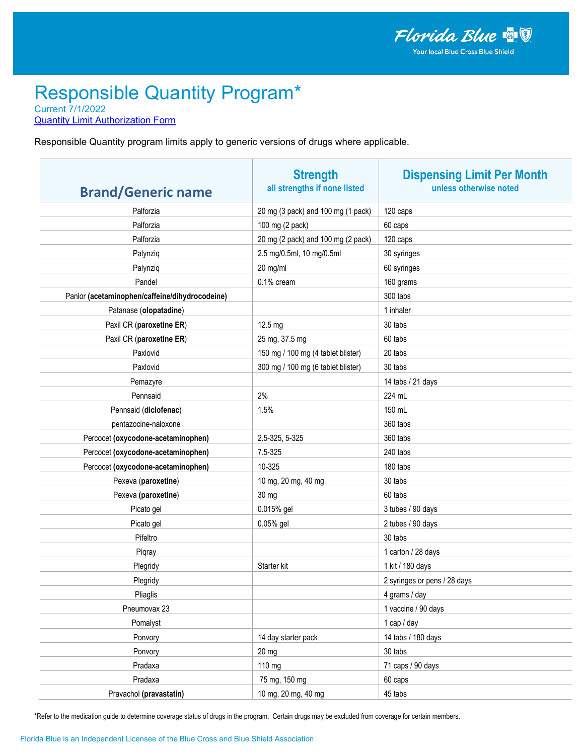**Quantity Limit Authorization Form** 

Responsible Quantity program limits apply to generic versions of drugs where applicable.

| <b>Brand/Generic name</b>                      | <b>Strength</b><br>all strengths if none listed | <b>Dispensing Limit Per Month</b><br>unless otherwise noted |
|------------------------------------------------|-------------------------------------------------|-------------------------------------------------------------|
| Palforzia                                      | 20 mg (3 pack) and 100 mg (1 pack)              | 120 caps                                                    |
| Palforzia                                      | 100 mg (2 pack)                                 | 60 caps                                                     |
| Palforzia                                      | 20 mg (2 pack) and 100 mg (2 pack)              | 120 caps                                                    |
| Palynziq                                       | 2.5 mg/0.5ml, 10 mg/0.5ml                       | 30 syringes                                                 |
| Palynziq                                       | 20 mg/ml                                        | 60 syringes                                                 |
| Pandel                                         | 0.1% cream                                      | 160 grams                                                   |
| Panlor (acetaminophen/caffeine/dihydrocodeine) |                                                 | 300 tabs                                                    |
| Patanase (olopatadine)                         |                                                 | 1 inhaler                                                   |
| Paxil CR (paroxetine ER)                       | 12.5 mg                                         | 30 tabs                                                     |
| Paxil CR (paroxetine ER)                       | 25 mg, 37.5 mg                                  | 60 tabs                                                     |
| Paxlovid                                       | 150 mg / 100 mg (4 tablet blister)              | 20 tabs                                                     |
| Paxlovid                                       | 300 mg / 100 mg (6 tablet blister)              | 30 tabs                                                     |
| Pemazyre                                       |                                                 | 14 tabs / 21 days                                           |
| Pennsaid                                       | 2%                                              | 224 mL                                                      |
| Pennsaid (diclofenac)                          | 1.5%                                            | 150 mL                                                      |
| pentazocine-naloxone                           |                                                 | 360 tabs                                                    |
| Percocet (oxycodone-acetaminophen)             | 2.5-325, 5-325                                  | 360 tabs                                                    |
| Percocet (oxycodone-acetaminophen)             | 7.5-325                                         | 240 tabs                                                    |
| Percocet (oxycodone-acetaminophen)             | 10-325                                          | 180 tabs                                                    |
| Pexeva (paroxetine)                            | 10 mg, 20 mg, 40 mg                             | 30 tabs                                                     |
| Pexeva (paroxetine)                            | 30 mg                                           | 60 tabs                                                     |
| Picato gel                                     | 0.015% gel                                      | 3 tubes / 90 days                                           |
| Picato gel                                     | 0.05% gel                                       | 2 tubes / 90 days                                           |
| Pifeltro                                       |                                                 | 30 tabs                                                     |
| Piqray                                         |                                                 | 1 carton / 28 days                                          |
| Plegridy                                       | Starter kit                                     | 1 kit / 180 days                                            |
| Plegridy                                       |                                                 | 2 syringes or pens / 28 days                                |
| Pliaglis                                       |                                                 | 4 grams / day                                               |
| Pneumovax 23                                   |                                                 | 1 vaccine / 90 days                                         |
| Pomalyst                                       |                                                 | 1 cap / day                                                 |
| Ponvory                                        | 14 day starter pack                             | 14 tabs / 180 days                                          |
| Ponvory                                        | $20$ mg                                         | 30 tabs                                                     |
| Pradaxa                                        | 110 mg                                          | 71 caps / 90 days                                           |
| Pradaxa                                        | 75 mg, 150 mg                                   | 60 caps                                                     |
| Pravachol (pravastatin)                        | 10 mg, 20 mg, 40 mg                             | 45 tabs                                                     |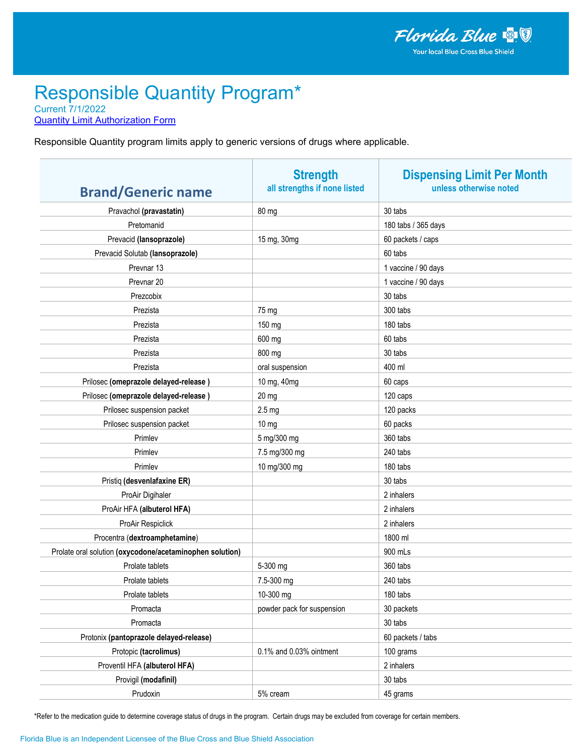**Quantity Limit Authorization Form** 

Responsible Quantity program limits apply to generic versions of drugs where applicable.

| <b>Brand/Generic name</b>                                | <b>Strength</b><br>all strengths if none listed | <b>Dispensing Limit Per Month</b><br>unless otherwise noted |
|----------------------------------------------------------|-------------------------------------------------|-------------------------------------------------------------|
| Pravachol (pravastatin)                                  | 80 mg                                           | 30 tabs                                                     |
| Pretomanid                                               |                                                 | 180 tabs / 365 days                                         |
| Prevacid (lansoprazole)                                  | 15 mg, 30mg                                     | 60 packets / caps                                           |
| Prevacid Solutab (lansoprazole)                          |                                                 | 60 tabs                                                     |
| Prevnar <sub>13</sub>                                    |                                                 | 1 vaccine / 90 days                                         |
| Prevnar <sub>20</sub>                                    |                                                 | 1 vaccine / 90 days                                         |
| Prezcobix                                                |                                                 | 30 tabs                                                     |
| Prezista                                                 | 75 mg                                           | 300 tabs                                                    |
| Prezista                                                 | 150 mg                                          | 180 tabs                                                    |
| Prezista                                                 | 600 mg                                          | 60 tabs                                                     |
| Prezista                                                 | 800 mg                                          | 30 tabs                                                     |
| Prezista                                                 | oral suspension                                 | 400 ml                                                      |
| Prilosec (omeprazole delayed-release)                    | 10 mg, 40mg                                     | 60 caps                                                     |
| Prilosec (omeprazole delayed-release)                    | $20$ mg                                         | 120 caps                                                    |
| Prilosec suspension packet                               | 2.5 <sub>mg</sub>                               | 120 packs                                                   |
| Prilosec suspension packet                               | 10 <sub>mg</sub>                                | 60 packs                                                    |
| Primlev                                                  | 5 mg/300 mg                                     | 360 tabs                                                    |
| Primlev                                                  | 7.5 mg/300 mg                                   | 240 tabs                                                    |
| Primlev                                                  | 10 mg/300 mg                                    | 180 tabs                                                    |
| Pristiq (desvenlafaxine ER)                              |                                                 | 30 tabs                                                     |
| ProAir Digihaler                                         |                                                 | 2 inhalers                                                  |
| ProAir HFA (albuterol HFA)                               |                                                 | 2 inhalers                                                  |
| ProAir Respiclick                                        |                                                 | 2 inhalers                                                  |
| Procentra (dextroamphetamine)                            |                                                 | 1800 ml                                                     |
| Prolate oral solution (oxycodone/acetaminophen solution) |                                                 | 900 mLs                                                     |
| Prolate tablets                                          | 5-300 mg                                        | 360 tabs                                                    |
| Prolate tablets                                          | 7.5-300 mg                                      | 240 tabs                                                    |
| Prolate tablets                                          | 10-300 mg                                       | 180 tabs                                                    |
| Promacta                                                 | powder pack for suspension                      | 30 packets                                                  |
| Promacta                                                 |                                                 | 30 tabs                                                     |
| Protonix (pantoprazole delayed-release)                  |                                                 | 60 packets / tabs                                           |
| Protopic (tacrolimus)                                    | 0.1% and 0.03% ointment                         | 100 grams                                                   |
| Proventil HFA (albuterol HFA)                            |                                                 | 2 inhalers                                                  |
| Provigil (modafinil)                                     |                                                 | 30 tabs                                                     |
| Prudoxin                                                 | 5% cream                                        | 45 grams                                                    |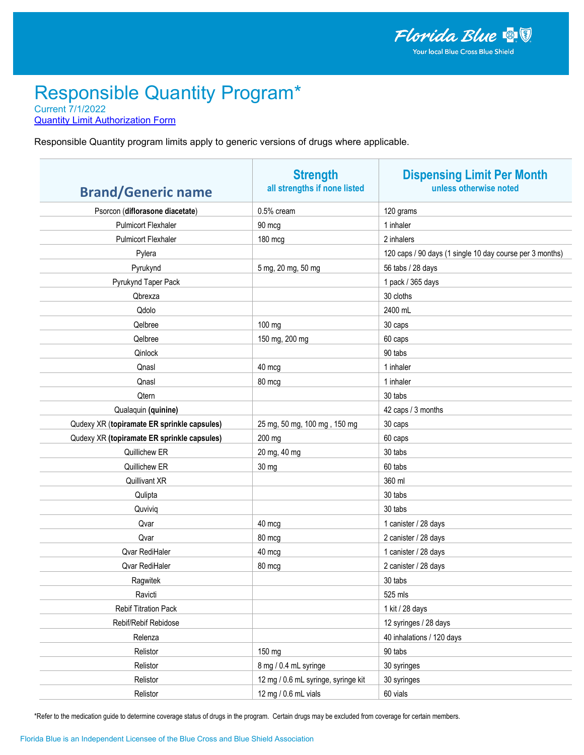**Quantity Limit Authorization Form** 

Responsible Quantity program limits apply to generic versions of drugs where applicable.

| <b>Brand/Generic name</b>                   | <b>Strength</b><br>all strengths if none listed | <b>Dispensing Limit Per Month</b><br>unless otherwise noted |
|---------------------------------------------|-------------------------------------------------|-------------------------------------------------------------|
| Psorcon (diflorasone diacetate)             | 0.5% cream                                      | 120 grams                                                   |
| <b>Pulmicort Flexhaler</b>                  | 90 mcg                                          | 1 inhaler                                                   |
| <b>Pulmicort Flexhaler</b>                  | 180 mcg                                         | 2 inhalers                                                  |
| Pylera                                      |                                                 | 120 caps / 90 days (1 single 10 day course per 3 months)    |
| Pyrukynd                                    | 5 mg, 20 mg, 50 mg                              | 56 tabs / 28 days                                           |
| Pyrukynd Taper Pack                         |                                                 | 1 pack / 365 days                                           |
| Qbrexza                                     |                                                 | 30 cloths                                                   |
| Qdolo                                       |                                                 | 2400 mL                                                     |
| Qelbree                                     | 100 mg                                          | 30 caps                                                     |
| Qelbree                                     | 150 mg, 200 mg                                  | 60 caps                                                     |
| Qinlock                                     |                                                 | 90 tabs                                                     |
| Qnasl                                       | 40 mcg                                          | 1 inhaler                                                   |
| Qnasl                                       | 80 mcg                                          | 1 inhaler                                                   |
| Qtern                                       |                                                 | 30 tabs                                                     |
| Qualaquin (quinine)                         |                                                 | 42 caps / 3 months                                          |
| Qudexy XR (topiramate ER sprinkle capsules) | 25 mg, 50 mg, 100 mg, 150 mg                    | 30 caps                                                     |
| Qudexy XR (topiramate ER sprinkle capsules) | 200 mg                                          | 60 caps                                                     |
| Quillichew ER                               | 20 mg, 40 mg                                    | 30 tabs                                                     |
| Quillichew ER                               | 30 mg                                           | 60 tabs                                                     |
| Quillivant XR                               |                                                 | 360 ml                                                      |
| Qulipta                                     |                                                 | 30 tabs                                                     |
| Quviviq                                     |                                                 | 30 tabs                                                     |
| Qvar                                        | 40 mcg                                          | 1 canister / 28 days                                        |
| Qvar                                        | 80 mcg                                          | 2 canister / 28 days                                        |
| Qvar RediHaler                              | 40 mcg                                          | 1 canister / 28 days                                        |
| Qvar RediHaler                              | 80 mcg                                          | 2 canister / 28 days                                        |
| Ragwitek                                    |                                                 | 30 tabs                                                     |
| Ravicti                                     |                                                 | 525 mls                                                     |
| Rebif Titration Pack                        |                                                 | 1 kit / 28 days                                             |
| Rebif/Rebif Rebidose                        |                                                 | 12 syringes / 28 days                                       |
| Relenza                                     |                                                 | 40 inhalations / 120 days                                   |
| Relistor                                    | 150 mg                                          | 90 tabs                                                     |
| Relistor                                    | 8 mg / 0.4 mL syringe                           | 30 syringes                                                 |
| Relistor                                    | 12 mg / 0.6 mL syringe, syringe kit             | 30 syringes                                                 |
| Relistor                                    | 12 mg / 0.6 mL vials                            | 60 vials                                                    |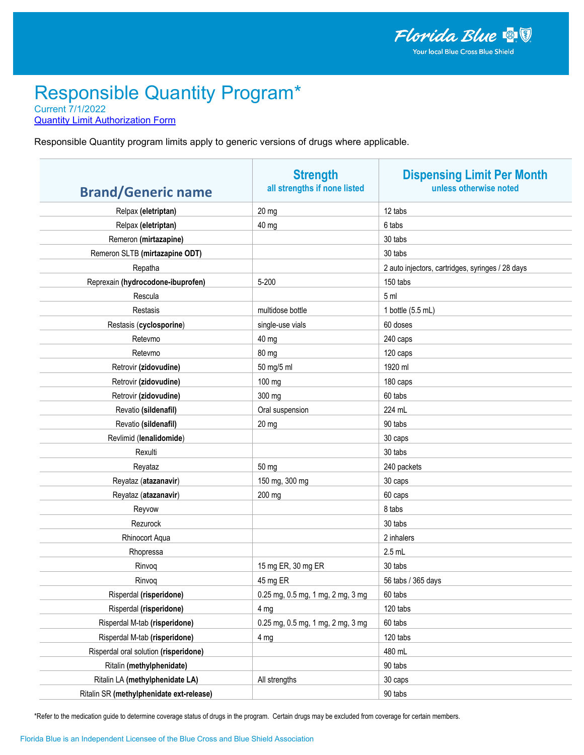**Quantity Limit Authorization Form** 

Responsible Quantity program limits apply to generic versions of drugs where applicable.

| <b>Brand/Generic name</b>                | <b>Strength</b><br>all strengths if none listed | <b>Dispensing Limit Per Month</b><br>unless otherwise noted |
|------------------------------------------|-------------------------------------------------|-------------------------------------------------------------|
| Relpax (eletriptan)                      | 20 mg                                           | 12 tabs                                                     |
| Relpax (eletriptan)                      | 40 mg                                           | 6 tabs                                                      |
| Remeron (mirtazapine)                    |                                                 | 30 tabs                                                     |
| Remeron SLTB (mirtazapine ODT)           |                                                 | 30 tabs                                                     |
| Repatha                                  |                                                 | 2 auto injectors, cartridges, syringes / 28 days            |
| Reprexain (hydrocodone-ibuprofen)        | 5-200                                           | 150 tabs                                                    |
| Rescula                                  |                                                 | 5 <sub>m</sub>                                              |
| Restasis                                 | multidose bottle                                | 1 bottle (5.5 mL)                                           |
| Restasis (cyclosporine)                  | single-use vials                                | 60 doses                                                    |
| Retevmo                                  | 40 mg                                           | 240 caps                                                    |
| Retevmo                                  | 80 mg                                           | 120 caps                                                    |
| Retrovir (zidovudine)                    | 50 mg/5 ml                                      | 1920 ml                                                     |
| Retrovir (zidovudine)                    | 100 mg                                          | 180 caps                                                    |
| Retrovir (zidovudine)                    | 300 mg                                          | 60 tabs                                                     |
| Revatio (sildenafil)                     | Oral suspension                                 | 224 mL                                                      |
| Revatio (sildenafil)                     | 20 mg                                           | 90 tabs                                                     |
| Revlimid (lenalidomide)                  |                                                 | 30 caps                                                     |
| Rexulti                                  |                                                 | 30 tabs                                                     |
| Reyataz                                  | 50 mg                                           | 240 packets                                                 |
| Reyataz (atazanavir)                     | 150 mg, 300 mg                                  | 30 caps                                                     |
| Reyataz (atazanavir)                     | 200 mg                                          | 60 caps                                                     |
| Reyvow                                   |                                                 | 8 tabs                                                      |
| Rezurock                                 |                                                 | 30 tabs                                                     |
| Rhinocort Aqua                           |                                                 | 2 inhalers                                                  |
| Rhopressa                                |                                                 | $2.5$ mL                                                    |
| Rinvoq                                   | 15 mg ER, 30 mg ER                              | 30 tabs                                                     |
| Rinvoq                                   | 45 mg ER                                        | 56 tabs / 365 days                                          |
| Risperdal (risperidone)                  | 0.25 mg, 0.5 mg, 1 mg, 2 mg, 3 mg               | 60 tabs                                                     |
| Risperdal (risperidone)                  | 4 mg                                            | 120 tabs                                                    |
| Risperdal M-tab (risperidone)            | 0.25 mg, 0.5 mg, 1 mg, 2 mg, 3 mg               | 60 tabs                                                     |
| Risperdal M-tab (risperidone)            | 4 mg                                            | 120 tabs                                                    |
| Risperdal oral solution (risperidone)    |                                                 | 480 mL                                                      |
| Ritalin (methylphenidate)                |                                                 | 90 tabs                                                     |
| Ritalin LA (methylphenidate LA)          | All strengths                                   | 30 caps                                                     |
| Ritalin SR (methylphenidate ext-release) |                                                 | 90 tabs                                                     |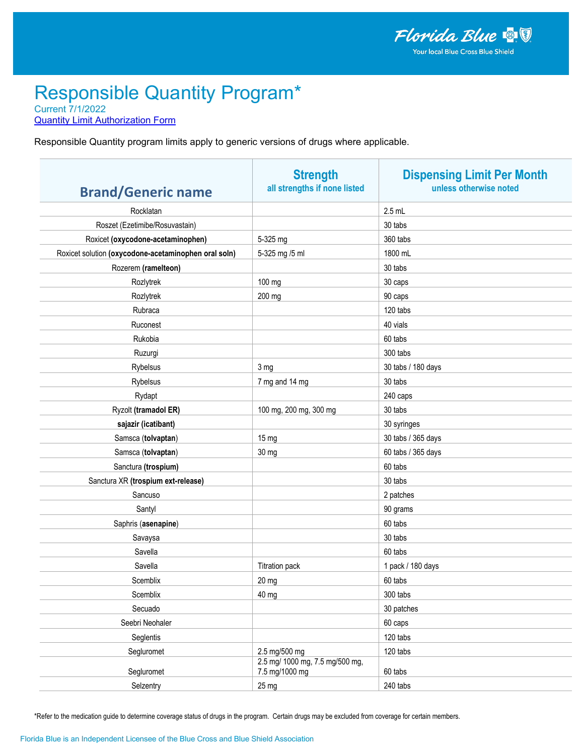**Quantity Limit Authorization Form** 

Responsible Quantity program limits apply to generic versions of drugs where applicable.

| <b>Brand/Generic name</b>                            | <b>Strength</b><br>all strengths if none listed   | <b>Dispensing Limit Per Month</b><br>unless otherwise noted |
|------------------------------------------------------|---------------------------------------------------|-------------------------------------------------------------|
| Rocklatan                                            |                                                   | $2.5$ mL                                                    |
| Roszet (Ezetimibe/Rosuvastain)                       |                                                   | 30 tabs                                                     |
| Roxicet (oxycodone-acetaminophen)                    | 5-325 mg                                          | 360 tabs                                                    |
| Roxicet solution (oxycodone-acetaminophen oral soln) | 5-325 mg /5 ml                                    | 1800 mL                                                     |
| Rozerem (ramelteon)                                  |                                                   | 30 tabs                                                     |
| Rozlytrek                                            | 100 mg                                            | 30 caps                                                     |
| Rozlytrek                                            | 200 mg                                            | 90 caps                                                     |
| Rubraca                                              |                                                   | 120 tabs                                                    |
| Ruconest                                             |                                                   | 40 vials                                                    |
| Rukobia                                              |                                                   | 60 tabs                                                     |
| Ruzurgi                                              |                                                   | 300 tabs                                                    |
| Rybelsus                                             | 3 mg                                              | 30 tabs / 180 days                                          |
| Rybelsus                                             | 7 mg and 14 mg                                    | 30 tabs                                                     |
| Rydapt                                               |                                                   | 240 caps                                                    |
| Ryzolt (tramadol ER)                                 | 100 mg, 200 mg, 300 mg                            | 30 tabs                                                     |
| sajazir (icatibant)                                  |                                                   | 30 syringes                                                 |
| Samsca (tolvaptan)                                   | 15 mg                                             | 30 tabs / 365 days                                          |
| Samsca (tolvaptan)                                   | 30 mg                                             | 60 tabs / 365 days                                          |
| Sanctura (trospium)                                  |                                                   | 60 tabs                                                     |
| Sanctura XR (trospium ext-release)                   |                                                   | 30 tabs                                                     |
| Sancuso                                              |                                                   | 2 patches                                                   |
| Santyl                                               |                                                   | 90 grams                                                    |
| Saphris (asenapine)                                  |                                                   | 60 tabs                                                     |
| Savaysa                                              |                                                   | 30 tabs                                                     |
| Savella                                              |                                                   | 60 tabs                                                     |
| Savella                                              | <b>Titration pack</b>                             | 1 pack / 180 days                                           |
| Scemblix                                             | 20 mg                                             | 60 tabs                                                     |
| Scemblix                                             | 40 mg                                             | 300 tabs                                                    |
| Secuado                                              |                                                   | 30 patches                                                  |
| Seebri Neohaler                                      |                                                   | 60 caps                                                     |
| Seglentis                                            |                                                   | 120 tabs                                                    |
| Segluromet                                           | 2.5 mg/500 mg                                     | 120 tabs                                                    |
| Segluromet                                           | 2.5 mg/ 1000 mg, 7.5 mg/500 mg,<br>7.5 mg/1000 mg | 60 tabs                                                     |
| Selzentry                                            | 25 mg                                             | 240 tabs                                                    |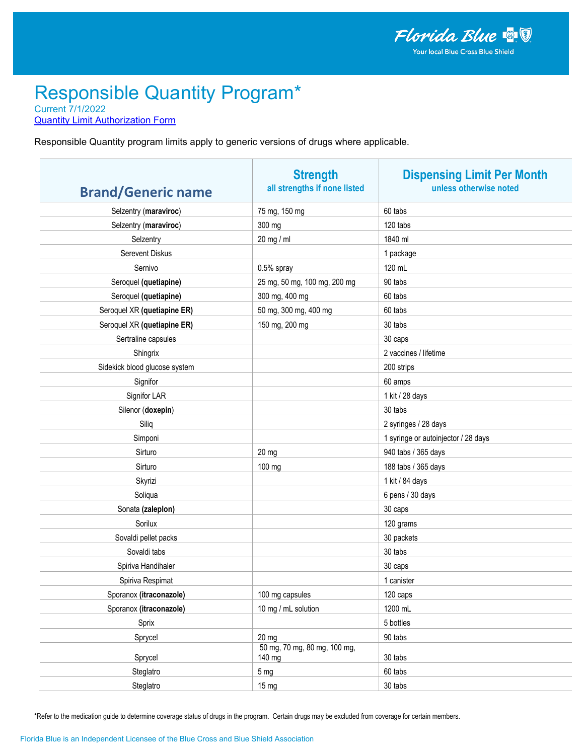**Quantity Limit Authorization Form** 

Responsible Quantity program limits apply to generic versions of drugs where applicable.

| <b>Brand/Generic name</b>     | <b>Strength</b><br>all strengths if none listed | <b>Dispensing Limit Per Month</b><br>unless otherwise noted |
|-------------------------------|-------------------------------------------------|-------------------------------------------------------------|
| Selzentry (maraviroc)         | 75 mg, 150 mg                                   | 60 tabs                                                     |
| Selzentry (maraviroc)         | 300 mg                                          | 120 tabs                                                    |
| Selzentry                     | 20 mg / ml                                      | 1840 ml                                                     |
| Serevent Diskus               |                                                 | 1 package                                                   |
| Sernivo                       | 0.5% spray                                      | 120 mL                                                      |
| Seroquel (quetiapine)         | 25 mg, 50 mg, 100 mg, 200 mg                    | 90 tabs                                                     |
| Seroquel (quetiapine)         | 300 mg, 400 mg                                  | 60 tabs                                                     |
| Seroquel XR (quetiapine ER)   | 50 mg, 300 mg, 400 mg                           | 60 tabs                                                     |
| Seroquel XR (quetiapine ER)   | 150 mg, 200 mg                                  | 30 tabs                                                     |
| Sertraline capsules           |                                                 | 30 caps                                                     |
| Shingrix                      |                                                 | 2 vaccines / lifetime                                       |
| Sidekick blood glucose system |                                                 | 200 strips                                                  |
| Signifor                      |                                                 | 60 amps                                                     |
| Signifor LAR                  |                                                 | 1 kit / 28 days                                             |
| Silenor (doxepin)             |                                                 | 30 tabs                                                     |
| Siliq                         |                                                 | 2 syringes / 28 days                                        |
| Simponi                       |                                                 | 1 syringe or autoinjector / 28 days                         |
| Sirturo                       | $20$ mg                                         | 940 tabs / 365 days                                         |
| Sirturo                       | 100 mg                                          | 188 tabs / 365 days                                         |
| Skyrizi                       |                                                 | 1 kit / 84 days                                             |
| Soliqua                       |                                                 | 6 pens / 30 days                                            |
| Sonata (zaleplon)             |                                                 | 30 caps                                                     |
| Sorilux                       |                                                 | 120 grams                                                   |
| Sovaldi pellet packs          |                                                 | 30 packets                                                  |
| Sovaldi tabs                  |                                                 | 30 tabs                                                     |
| Spiriva Handihaler            |                                                 | 30 caps                                                     |
| Spiriva Respimat              |                                                 | 1 canister                                                  |
| Sporanox (itraconazole)       | 100 mg capsules                                 | 120 caps                                                    |
| Sporanox (itraconazole)       | 10 mg / mL solution                             | 1200 mL                                                     |
| Sprix                         |                                                 | 5 bottles                                                   |
| Sprycel                       | $20$ mg                                         | 90 tabs                                                     |
| Sprycel                       | 50 mg, 70 mg, 80 mg, 100 mg,<br>140 mg          | 30 tabs                                                     |
| Steglatro                     | 5 <sub>mg</sub>                                 | 60 tabs                                                     |
| Steglatro                     | 15 <sub>mg</sub>                                | 30 tabs                                                     |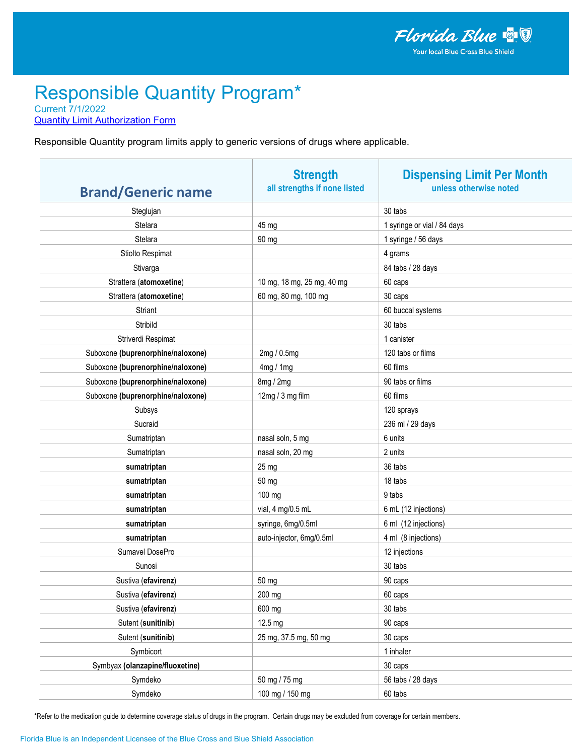**Quantity Limit Authorization Form** 

Responsible Quantity program limits apply to generic versions of drugs where applicable.

| <b>Brand/Generic name</b>         | <b>Strength</b><br>all strengths if none listed | <b>Dispensing Limit Per Month</b><br>unless otherwise noted |
|-----------------------------------|-------------------------------------------------|-------------------------------------------------------------|
| Steglujan                         |                                                 | 30 tabs                                                     |
| Stelara                           | 45 mg                                           | 1 syringe or vial / 84 days                                 |
| <b>Stelara</b>                    | 90 mg                                           | 1 syringe / 56 days                                         |
| Stiolto Respimat                  |                                                 | 4 grams                                                     |
| Stivarga                          |                                                 | 84 tabs / 28 days                                           |
| Strattera (atomoxetine)           | 10 mg, 18 mg, 25 mg, 40 mg                      | 60 caps                                                     |
| Strattera (atomoxetine)           | 60 mg, 80 mg, 100 mg                            | 30 caps                                                     |
| Striant                           |                                                 | 60 buccal systems                                           |
| Stribild                          |                                                 | 30 tabs                                                     |
| Striverdi Respimat                |                                                 | 1 canister                                                  |
| Suboxone (buprenorphine/naloxone) | 2mg / 0.5mg                                     | 120 tabs or films                                           |
| Suboxone (buprenorphine/naloxone) | 4mg/1mg                                         | 60 films                                                    |
| Suboxone (buprenorphine/naloxone) | 8mg / 2mg                                       | 90 tabs or films                                            |
| Suboxone (buprenorphine/naloxone) | 12mg / 3 mg film                                | 60 films                                                    |
| Subsys                            |                                                 | 120 sprays                                                  |
| Sucraid                           |                                                 | 236 ml / 29 days                                            |
| Sumatriptan                       | nasal soln, 5 mg                                | 6 units                                                     |
| Sumatriptan                       | nasal soln, 20 mg                               | 2 units                                                     |
| sumatriptan                       | 25 mg                                           | 36 tabs                                                     |
| sumatriptan                       | 50 mg                                           | 18 tabs                                                     |
| sumatriptan                       | 100 mg                                          | 9 tabs                                                      |
| sumatriptan                       | vial, 4 mg/0.5 mL                               | 6 mL (12 injections)                                        |
| sumatriptan                       | syringe, 6mg/0.5ml                              | 6 ml (12 injections)                                        |
| sumatriptan                       | auto-injector, 6mg/0.5ml                        | 4 ml (8 injections)                                         |
| Sumavel DosePro                   |                                                 | 12 injections                                               |
| Sunosi                            |                                                 | 30 tabs                                                     |
| Sustiva (efavirenz)               | 50 mg                                           | 90 caps                                                     |
| Sustiva (efavirenz)               | 200 mg                                          | 60 caps                                                     |
| Sustiva (efavirenz)               | 600 mg                                          | 30 tabs                                                     |
| Sutent (sunitinib)                | 12.5 mg                                         | 90 caps                                                     |
| Sutent (sunitinib)                | 25 mg, 37.5 mg, 50 mg                           | 30 caps                                                     |
| Symbicort                         |                                                 | 1 inhaler                                                   |
| Symbyax (olanzapine/fluoxetine)   |                                                 | 30 caps                                                     |
| Symdeko                           | 50 mg / 75 mg                                   | 56 tabs / 28 days                                           |
| Symdeko                           | 100 mg / 150 mg                                 | 60 tabs                                                     |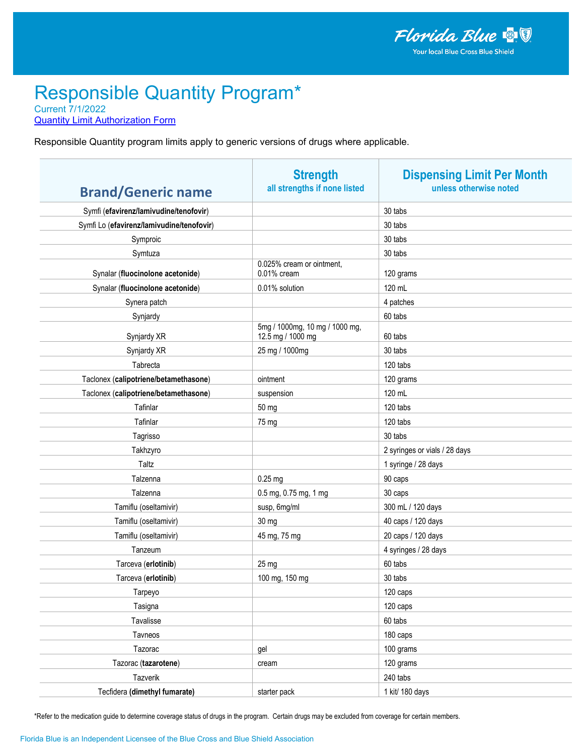**Quantity Limit Authorization Form** 

Responsible Quantity program limits apply to generic versions of drugs where applicable.

| <b>Brand/Generic name</b>                 | <b>Strength</b><br>all strengths if none listed     | <b>Dispensing Limit Per Month</b><br>unless otherwise noted |
|-------------------------------------------|-----------------------------------------------------|-------------------------------------------------------------|
| Symfi (efavirenz/lamivudine/tenofovir)    |                                                     | 30 tabs                                                     |
| Symfi Lo (efavirenz/lamivudine/tenofovir) |                                                     | 30 tabs                                                     |
| Symproic                                  |                                                     | 30 tabs                                                     |
| Symtuza                                   |                                                     | 30 tabs                                                     |
| Synalar (fluocinolone acetonide)          | 0.025% cream or ointment,<br>0.01% cream            | 120 grams                                                   |
| Synalar (fluocinolone acetonide)          | 0.01% solution                                      | 120 mL                                                      |
| Synera patch                              |                                                     | 4 patches                                                   |
| Synjardy                                  |                                                     | 60 tabs                                                     |
| Synjardy XR                               | 5mg / 1000mg, 10 mg / 1000 mg,<br>12.5 mg / 1000 mg | 60 tabs                                                     |
| Synjardy XR                               | 25 mg / 1000mg                                      | 30 tabs                                                     |
| Tabrecta                                  |                                                     | 120 tabs                                                    |
| Taclonex (calipotriene/betamethasone)     | ointment                                            | 120 grams                                                   |
| Taclonex (calipotriene/betamethasone)     | suspension                                          | 120 mL                                                      |
| Tafinlar                                  | 50 mg                                               | 120 tabs                                                    |
| Tafinlar                                  | 75 mg                                               | 120 tabs                                                    |
| Tagrisso                                  |                                                     | 30 tabs                                                     |
| Takhzyro                                  |                                                     | 2 syringes or vials / 28 days                               |
| Taltz                                     |                                                     | 1 syringe / 28 days                                         |
| Talzenna                                  | $0.25$ mg                                           | 90 caps                                                     |
| Talzenna                                  | 0.5 mg, 0.75 mg, 1 mg                               | 30 caps                                                     |
| Tamiflu (oseltamivir)                     | susp, 6mg/ml                                        | 300 mL / 120 days                                           |
| Tamiflu (oseltamivir)                     | 30 mg                                               | 40 caps / 120 days                                          |
| Tamiflu (oseltamivir)                     | 45 mg, 75 mg                                        | 20 caps / 120 days                                          |
| Tanzeum                                   |                                                     | 4 syringes / 28 days                                        |
| Tarceva (erlotinib)                       | 25 mg                                               | 60 tabs                                                     |
| Tarceva (erlotinib)                       | 100 mg, 150 mg                                      | 30 tabs                                                     |
| Tarpeyo                                   |                                                     | 120 caps                                                    |
| Tasigna                                   |                                                     | 120 caps                                                    |
| Tavalisse                                 |                                                     | 60 tabs                                                     |
| Tavneos                                   |                                                     | 180 caps                                                    |
| Tazorac                                   | gel                                                 | 100 grams                                                   |
| Tazorac (tazarotene)                      | cream                                               | 120 grams                                                   |
| Tazverik                                  |                                                     | 240 tabs                                                    |
| Tecfidera (dimethyl fumarate)             | starter pack                                        | 1 kit/ 180 days                                             |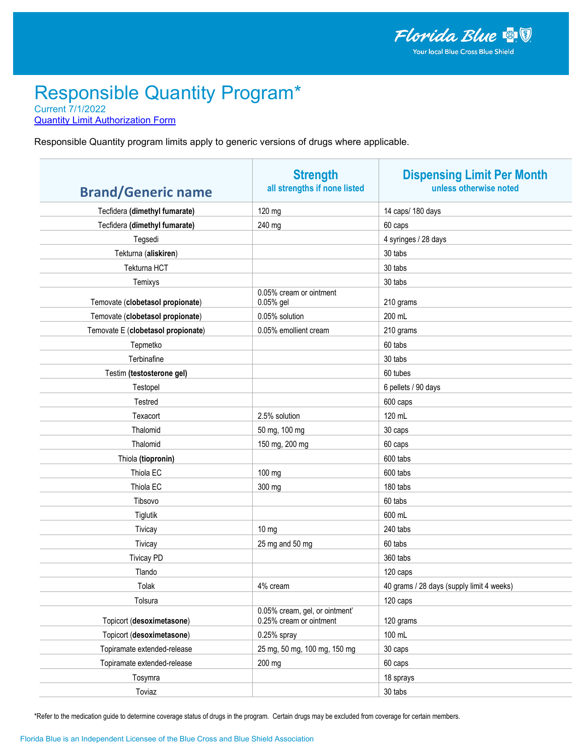**Quantity Limit Authorization Form** 

Responsible Quantity program limits apply to generic versions of drugs where applicable.

| <b>Brand/Generic name</b>          | <b>Strength</b><br>all strengths if none listed           | <b>Dispensing Limit Per Month</b><br>unless otherwise noted |
|------------------------------------|-----------------------------------------------------------|-------------------------------------------------------------|
| Tecfidera (dimethyl fumarate)      | 120 mg                                                    | 14 caps/ 180 days                                           |
| Tecfidera (dimethyl fumarate)      | 240 mg                                                    | 60 caps                                                     |
| Tegsedi                            |                                                           | 4 syringes / 28 days                                        |
| Tekturna (aliskiren)               |                                                           | 30 tabs                                                     |
| Tekturna HCT                       |                                                           | 30 tabs                                                     |
| Temixys                            |                                                           | 30 tabs                                                     |
| Temovate (clobetasol propionate)   | 0.05% cream or ointment<br>0.05% gel                      | 210 grams                                                   |
| Temovate (clobetasol propionate)   | 0.05% solution                                            | 200 mL                                                      |
| Temovate E (clobetasol propionate) | 0.05% emollient cream                                     | 210 grams                                                   |
| Tepmetko                           |                                                           | 60 tabs                                                     |
| Terbinafine                        |                                                           | 30 tabs                                                     |
| Testim (testosterone gel)          |                                                           | 60 tubes                                                    |
| Testopel                           |                                                           | 6 pellets / 90 days                                         |
| Testred                            |                                                           | 600 caps                                                    |
| Texacort                           | 2.5% solution                                             | 120 mL                                                      |
| Thalomid                           | 50 mg, 100 mg                                             | 30 caps                                                     |
| Thalomid                           | 150 mg, 200 mg                                            | 60 caps                                                     |
| Thiola (tiopronin)                 |                                                           | 600 tabs                                                    |
| Thiola EC                          | 100 mg                                                    | 600 tabs                                                    |
| Thiola EC                          | 300 mg                                                    | 180 tabs                                                    |
| Tibsovo                            |                                                           | 60 tabs                                                     |
| Tiglutik                           |                                                           | 600 mL                                                      |
| Tivicay                            | $10 \text{ mg}$                                           | 240 tabs                                                    |
| Tivicay                            | 25 mg and 50 mg                                           | 60 tabs                                                     |
| <b>Tivicay PD</b>                  |                                                           | 360 tabs                                                    |
| Tlando                             |                                                           | 120 caps                                                    |
| Tolak                              | 4% cream                                                  | 40 grams / 28 days (supply limit 4 weeks)                   |
| Tolsura                            |                                                           | 120 caps                                                    |
| Topicort (desoximetasone)          | 0.05% cream, gel, or ointment'<br>0.25% cream or ointment | 120 grams                                                   |
| Topicort (desoximetasone)          | 0.25% spray                                               | 100 mL                                                      |
| Topiramate extended-release        | 25 mg, 50 mg, 100 mg, 150 mg                              | 30 caps                                                     |
| Topiramate extended-release        | 200 mg                                                    | 60 caps                                                     |
| Tosymra                            |                                                           | 18 sprays                                                   |
| Toviaz                             |                                                           | 30 tabs                                                     |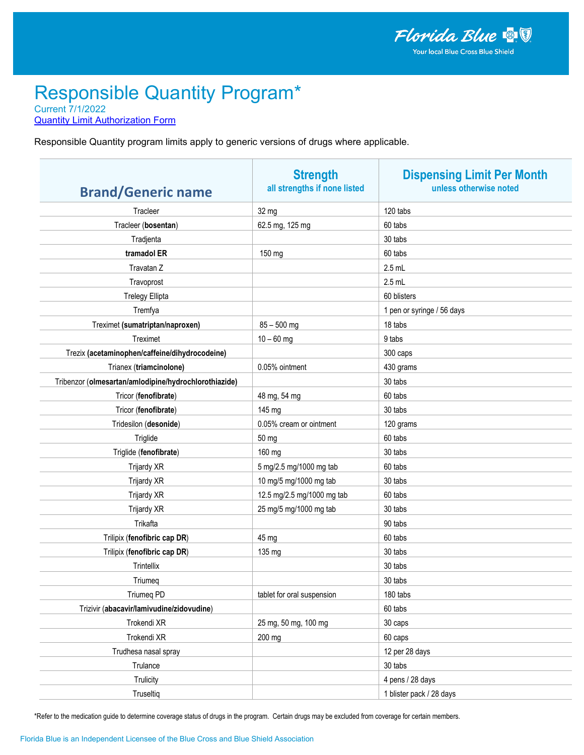**Quantity Limit Authorization Form** 

Responsible Quantity program limits apply to generic versions of drugs where applicable.

| <b>Brand/Generic name</b>                             | <b>Strength</b><br>all strengths if none listed | <b>Dispensing Limit Per Month</b><br>unless otherwise noted |
|-------------------------------------------------------|-------------------------------------------------|-------------------------------------------------------------|
| Tracleer                                              | 32 mg                                           | 120 tabs                                                    |
| Tracleer (bosentan)                                   | 62.5 mg, 125 mg                                 | 60 tabs                                                     |
| Tradjenta                                             |                                                 | 30 tabs                                                     |
| tramadol ER                                           | 150 mg                                          | 60 tabs                                                     |
| Travatan Z                                            |                                                 | $2.5$ mL                                                    |
| Travoprost                                            |                                                 | $2.5$ mL                                                    |
| <b>Trelegy Ellipta</b>                                |                                                 | 60 blisters                                                 |
| Tremfya                                               |                                                 | 1 pen or syringe / 56 days                                  |
| Treximet (sumatriptan/naproxen)                       | $85 - 500$ mg                                   | 18 tabs                                                     |
| Treximet                                              | $10 - 60$ mg                                    | 9 tabs                                                      |
| Trezix (acetaminophen/caffeine/dihydrocodeine)        |                                                 | 300 caps                                                    |
| Trianex (triamcinolone)                               | 0.05% ointment                                  | 430 grams                                                   |
| Tribenzor (olmesartan/amlodipine/hydrochlorothiazide) |                                                 | 30 tabs                                                     |
| Tricor (fenofibrate)                                  | 48 mg, 54 mg                                    | 60 tabs                                                     |
| Tricor (fenofibrate)                                  | 145 mg                                          | 30 tabs                                                     |
| Tridesilon (desonide)                                 | 0.05% cream or ointment                         | 120 grams                                                   |
| Triglide                                              | 50 mg                                           | 60 tabs                                                     |
| Triglide (fenofibrate)                                | 160 mg                                          | 30 tabs                                                     |
| Trijardy XR                                           | 5 mg/2.5 mg/1000 mg tab                         | 60 tabs                                                     |
| Trijardy XR                                           | 10 mg/5 mg/1000 mg tab                          | 30 tabs                                                     |
| Trijardy XR                                           | 12.5 mg/2.5 mg/1000 mg tab                      | 60 tabs                                                     |
| Trijardy XR                                           | 25 mg/5 mg/1000 mg tab                          | 30 tabs                                                     |
| Trikafta                                              |                                                 | 90 tabs                                                     |
| Trilipix (fenofibric cap DR)                          | 45 mg                                           | 60 tabs                                                     |
| Trilipix (fenofibric cap DR)                          | 135 mg                                          | 30 tabs                                                     |
| Trintellix                                            |                                                 | 30 tabs                                                     |
| Triumeg                                               |                                                 | 30 tabs                                                     |
| <b>Triumeg PD</b>                                     | tablet for oral suspension                      | 180 tabs                                                    |
| Trizivir (abacavir/lamivudine/zidovudine)             |                                                 | 60 tabs                                                     |
| Trokendi XR                                           | 25 mg, 50 mg, 100 mg                            | 30 caps                                                     |
| Trokendi XR                                           | 200 mg                                          | 60 caps                                                     |
| Trudhesa nasal spray                                  |                                                 | 12 per 28 days                                              |
| Trulance                                              |                                                 | 30 tabs                                                     |
| Trulicity                                             |                                                 | 4 pens / 28 days                                            |
| Truseltiq                                             |                                                 | 1 blister pack / 28 days                                    |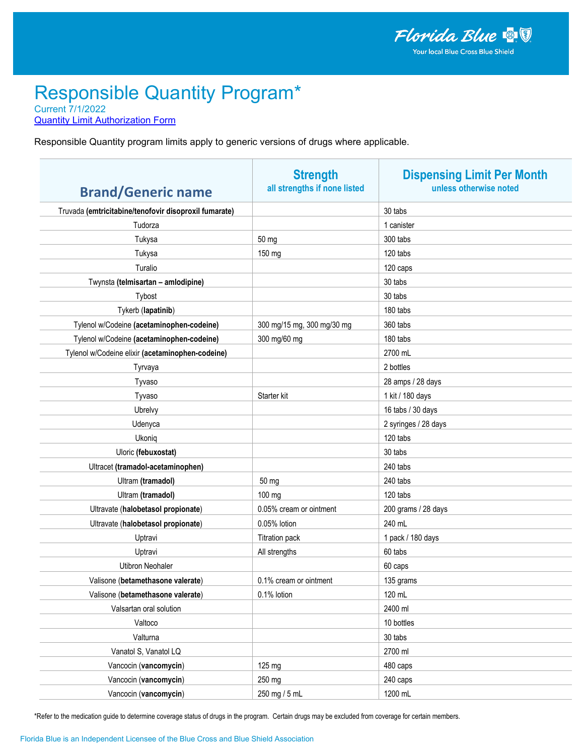**Quantity Limit Authorization Form** 

Responsible Quantity program limits apply to generic versions of drugs where applicable.

| <b>Brand/Generic name</b>                             | <b>Strength</b><br>all strengths if none listed | <b>Dispensing Limit Per Month</b><br>unless otherwise noted |
|-------------------------------------------------------|-------------------------------------------------|-------------------------------------------------------------|
| Truvada (emtricitabine/tenofovir disoproxil fumarate) |                                                 | 30 tabs                                                     |
| Tudorza                                               |                                                 | 1 canister                                                  |
| Tukysa                                                | 50 mg                                           | 300 tabs                                                    |
| Tukysa                                                | 150 mg                                          | 120 tabs                                                    |
| Turalio                                               |                                                 | 120 caps                                                    |
| Twynsta (telmisartan - amlodipine)                    |                                                 | 30 tabs                                                     |
| Tybost                                                |                                                 | 30 tabs                                                     |
| Tykerb (lapatinib)                                    |                                                 | 180 tabs                                                    |
| Tylenol w/Codeine (acetaminophen-codeine)             | 300 mg/15 mg, 300 mg/30 mg                      | 360 tabs                                                    |
| Tylenol w/Codeine (acetaminophen-codeine)             | 300 mg/60 mg                                    | 180 tabs                                                    |
| Tylenol w/Codeine elixir (acetaminophen-codeine)      |                                                 | 2700 mL                                                     |
| Tyrvaya                                               |                                                 | 2 bottles                                                   |
| Tyvaso                                                |                                                 | 28 amps / 28 days                                           |
| Tyvaso                                                | Starter kit                                     | 1 kit / 180 days                                            |
| Ubrelvy                                               |                                                 | 16 tabs / 30 days                                           |
| Udenyca                                               |                                                 | 2 syringes / 28 days                                        |
| Ukoniq                                                |                                                 | 120 tabs                                                    |
| Uloric (febuxostat)                                   |                                                 | 30 tabs                                                     |
| Ultracet (tramadol-acetaminophen)                     |                                                 | 240 tabs                                                    |
| Ultram (tramadol)                                     | 50 mg                                           | 240 tabs                                                    |
| Ultram (tramadol)                                     | 100 mg                                          | 120 tabs                                                    |
| Ultravate (halobetasol propionate)                    | 0.05% cream or ointment                         | 200 grams / 28 days                                         |
| Ultravate (halobetasol propionate)                    | 0.05% lotion                                    | 240 mL                                                      |
| Uptravi                                               | <b>Titration pack</b>                           | 1 pack / 180 days                                           |
| Uptravi                                               | All strengths                                   | 60 tabs                                                     |
| <b>Utibron Neohaler</b>                               |                                                 | 60 caps                                                     |
| Valisone (betamethasone valerate)                     | 0.1% cream or ointment                          | 135 grams                                                   |
| Valisone (betamethasone valerate)                     | 0.1% lotion                                     | 120 mL                                                      |
| Valsartan oral solution                               |                                                 | 2400 ml                                                     |
| Valtoco                                               |                                                 | 10 bottles                                                  |
| Valturna                                              |                                                 | 30 tabs                                                     |
| Vanatol S, Vanatol LQ                                 |                                                 | 2700 ml                                                     |
| Vancocin (vancomycin)                                 | 125 mg                                          | 480 caps                                                    |
| Vancocin (vancomycin)                                 | 250 mg                                          | 240 caps                                                    |
| Vancocin (vancomycin)                                 | 250 mg / 5 mL                                   | 1200 mL                                                     |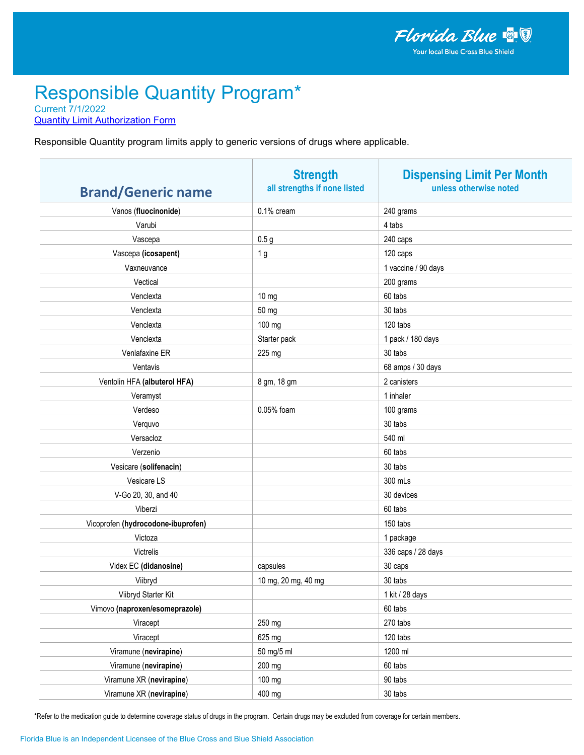**Quantity Limit Authorization Form** 

Responsible Quantity program limits apply to generic versions of drugs where applicable.

| <b>Brand/Generic name</b>          | <b>Strength</b><br>all strengths if none listed | <b>Dispensing Limit Per Month</b><br>unless otherwise noted |
|------------------------------------|-------------------------------------------------|-------------------------------------------------------------|
| Vanos (fluocinonide)               | 0.1% cream                                      | 240 grams                                                   |
| Varubi                             |                                                 | 4 tabs                                                      |
| Vascepa                            | 0.5 <sub>g</sub>                                | 240 caps                                                    |
| Vascepa (icosapent)                | 1 <sub>g</sub>                                  | 120 caps                                                    |
| Vaxneuvance                        |                                                 | 1 vaccine / 90 days                                         |
| Vectical                           |                                                 | 200 grams                                                   |
| Venclexta                          | 10 <sub>mg</sub>                                | 60 tabs                                                     |
| Venclexta                          | 50 mg                                           | 30 tabs                                                     |
| Venclexta                          | 100 mg                                          | 120 tabs                                                    |
| Venclexta                          | Starter pack                                    | 1 pack / 180 days                                           |
| Venlafaxine ER                     | 225 mg                                          | 30 tabs                                                     |
| Ventavis                           |                                                 | 68 amps / 30 days                                           |
| Ventolin HFA (albuterol HFA)       | 8 gm, 18 gm                                     | 2 canisters                                                 |
| Veramyst                           |                                                 | 1 inhaler                                                   |
| Verdeso                            | 0.05% foam                                      | 100 grams                                                   |
| Verquvo                            |                                                 | 30 tabs                                                     |
| Versacloz                          |                                                 | 540 ml                                                      |
| Verzenio                           |                                                 | 60 tabs                                                     |
| Vesicare (solifenacin)             |                                                 | 30 tabs                                                     |
| Vesicare LS                        |                                                 | 300 mLs                                                     |
| V-Go 20, 30, and 40                |                                                 | 30 devices                                                  |
| Viberzi                            |                                                 | 60 tabs                                                     |
| Vicoprofen (hydrocodone-ibuprofen) |                                                 | 150 tabs                                                    |
| Victoza                            |                                                 | 1 package                                                   |
| Victrelis                          |                                                 | 336 caps / 28 days                                          |
| Videx EC (didanosine)              | capsules                                        | 30 caps                                                     |
| Viibryd                            | 10 mg, 20 mg, 40 mg                             | 30 tabs                                                     |
| Viibryd Starter Kit                |                                                 | 1 kit / 28 days                                             |
| Vimovo (naproxen/esomeprazole)     |                                                 | 60 tabs                                                     |
| Viracept                           | 250 mg                                          | 270 tabs                                                    |
| Viracept                           | 625 mg                                          | 120 tabs                                                    |
| Viramune (nevirapine)              | 50 mg/5 ml                                      | 1200 ml                                                     |
| Viramune (nevirapine)              | 200 mg                                          | 60 tabs                                                     |
| Viramune XR (nevirapine)           | 100 mg                                          | 90 tabs                                                     |
| Viramune XR (nevirapine)           | 400 mg                                          | 30 tabs                                                     |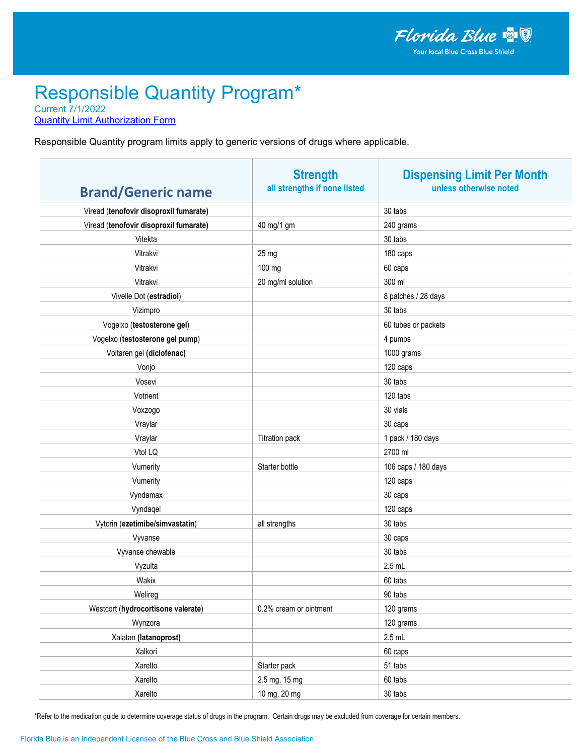**Quantity Limit Authorization Form** 

Responsible Quantity program limits apply to generic versions of drugs where applicable.

| <b>Brand/Generic name</b>              | <b>Strength</b><br>all strengths if none listed | <b>Dispensing Limit Per Month</b><br>unless otherwise noted |
|----------------------------------------|-------------------------------------------------|-------------------------------------------------------------|
| Viread (tenofovir disoproxil fumarate) |                                                 | 30 tabs                                                     |
| Viread (tenofovir disoproxil fumarate) | 40 mg/1 gm                                      | 240 grams                                                   |
| Vitekta                                |                                                 | 30 tabs                                                     |
| Vitrakvi                               | 25 mg                                           | 180 caps                                                    |
| Vitrakvi                               | 100 mg                                          | 60 caps                                                     |
| Vitrakvi                               | 20 mg/ml solution                               | 300 ml                                                      |
| Vivelle Dot (estradiol)                |                                                 | 8 patches / 28 days                                         |
| Vizimpro                               |                                                 | 30 tabs                                                     |
| Vogelxo (testosterone gel)             |                                                 | 60 tubes or packets                                         |
| Vogelxo (testosterone gel pump)        |                                                 | 4 pumps                                                     |
| Voltaren gel (diclofenac)              |                                                 | 1000 grams                                                  |
| Vonjo                                  |                                                 | 120 caps                                                    |
| Vosevi                                 |                                                 | 30 tabs                                                     |
| Votrient                               |                                                 | 120 tabs                                                    |
| Voxzogo                                |                                                 | 30 vials                                                    |
| Vraylar                                |                                                 | 30 caps                                                     |
| Vraylar                                | <b>Titration pack</b>                           | 1 pack / 180 days                                           |
| Vtol LQ                                |                                                 | 2700 ml                                                     |
| Vumerity                               | Starter bottle                                  | 106 caps / 180 days                                         |
| Vumerity                               |                                                 | 120 caps                                                    |
| Vyndamax                               |                                                 | 30 caps                                                     |
| Vyndaqel                               |                                                 | 120 caps                                                    |
| Vytorin (ezetimibe/simvastatin)        | all strengths                                   | 30 tabs                                                     |
| Vyvanse                                |                                                 | 30 caps                                                     |
| Vyvanse chewable                       |                                                 | 30 tabs                                                     |
| Vyzulta                                |                                                 | $2.5$ mL                                                    |
| Wakix                                  |                                                 | 60 tabs                                                     |
| Welireg                                |                                                 | 90 tabs                                                     |
| Westcort (hydrocortisone valerate)     | 0.2% cream or ointment                          | 120 grams                                                   |
| Wynzora                                |                                                 | 120 grams                                                   |
| Xalatan (latanoprost)                  |                                                 | $2.5$ mL                                                    |
| Xalkori                                |                                                 | 60 caps                                                     |
| Xarelto                                | Starter pack                                    | 51 tabs                                                     |
| Xarelto                                | 2.5 mg, 15 mg                                   | 60 tabs                                                     |
| Xarelto                                | 10 mg, 20 mg                                    | 30 tabs                                                     |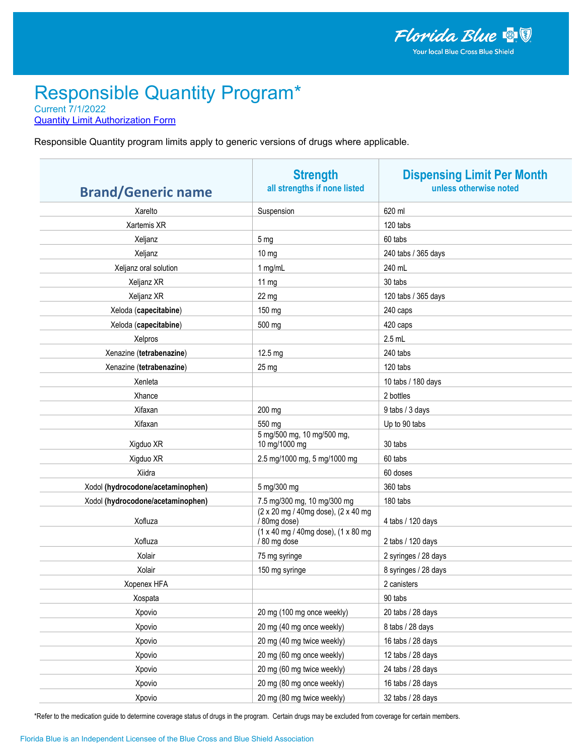**Quantity Limit Authorization Form** 

Responsible Quantity program limits apply to generic versions of drugs where applicable.

| <b>Brand/Generic name</b>         | <b>Strength</b><br>all strengths if none listed     | <b>Dispensing Limit Per Month</b><br>unless otherwise noted |
|-----------------------------------|-----------------------------------------------------|-------------------------------------------------------------|
| Xarelto                           | Suspension                                          | 620 ml                                                      |
| Xartemis XR                       |                                                     | 120 tabs                                                    |
| Xeljanz                           | 5 <sub>mg</sub>                                     | 60 tabs                                                     |
| Xeljanz                           | $10 \text{ mg}$                                     | 240 tabs / 365 days                                         |
| Xeljanz oral solution             | 1 mg/mL                                             | 240 mL                                                      |
| Xeljanz XR                        | $11 \text{ mg}$                                     | 30 tabs                                                     |
| Xeljanz XR                        | 22 mg                                               | 120 tabs / 365 days                                         |
| Xeloda (capecitabine)             | 150 mg                                              | 240 caps                                                    |
| Xeloda (capecitabine)             | 500 mg                                              | 420 caps                                                    |
| Xelpros                           |                                                     | $2.5$ mL                                                    |
| Xenazine (tetrabenazine)          | 12.5 mg                                             | 240 tabs                                                    |
| Xenazine (tetrabenazine)          | 25 mg                                               | 120 tabs                                                    |
| Xenleta                           |                                                     | 10 tabs / 180 days                                          |
| Xhance                            |                                                     | 2 bottles                                                   |
| Xifaxan                           | 200 mg                                              | 9 tabs / 3 days                                             |
| Xifaxan                           | 550 mg                                              | Up to 90 tabs                                               |
| Xigduo XR                         | 5 mg/500 mg, 10 mg/500 mg,<br>10 mg/1000 mg         | 30 tabs                                                     |
| Xigduo XR                         | 2.5 mg/1000 mg, 5 mg/1000 mg                        | 60 tabs                                                     |
| Xiidra                            |                                                     | 60 doses                                                    |
| Xodol (hydrocodone/acetaminophen) | 5 mg/300 mg                                         | 360 tabs                                                    |
| Xodol (hydrocodone/acetaminophen) | 7.5 mg/300 mg, 10 mg/300 mg                         | 180 tabs                                                    |
| Xofluza                           | (2 x 20 mg / 40mg dose), (2 x 40 mg<br>/ 80mg dose) | 4 tabs / 120 days                                           |
| Xofluza                           | (1 x 40 mg / 40mg dose), (1 x 80 mg<br>/80 mg dose  | 2 tabs / 120 days                                           |
| Xolair                            | 75 mg syringe                                       | 2 syringes / 28 days                                        |
| Xolair                            | 150 mg syringe                                      | 8 syringes / 28 days                                        |
| Xopenex HFA                       |                                                     | 2 canisters                                                 |
| Xospata                           |                                                     | 90 tabs                                                     |
| Xpovio                            | 20 mg (100 mg once weekly)                          | 20 tabs / 28 days                                           |
| Xpovio                            | 20 mg (40 mg once weekly)                           | 8 tabs / 28 days                                            |
| Xpovio                            | 20 mg (40 mg twice weekly)                          | 16 tabs / 28 days                                           |
| Xpovio                            | 20 mg (60 mg once weekly)                           | 12 tabs / 28 days                                           |
| Xpovio                            | 20 mg (60 mg twice weekly)                          | 24 tabs / 28 days                                           |
| Xpovio                            | 20 mg (80 mg once weekly)                           | 16 tabs / 28 days                                           |
| Xpovio                            | 20 mg (80 mg twice weekly)                          | 32 tabs / 28 days                                           |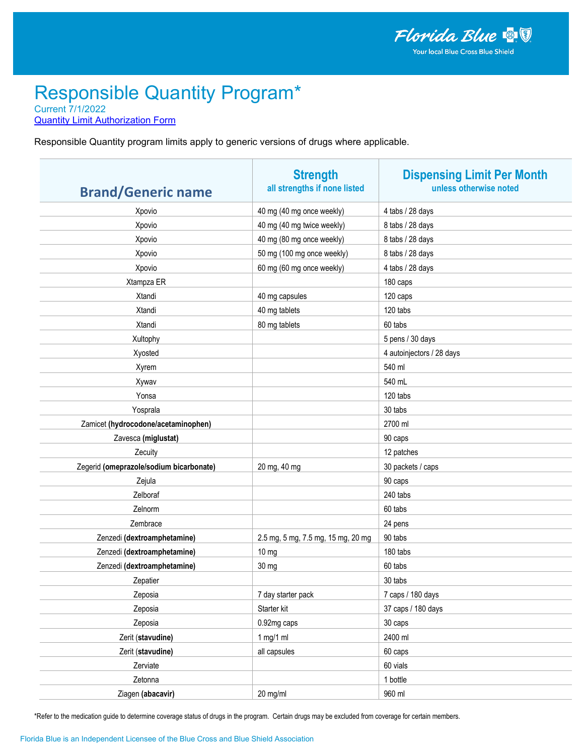**Quantity Limit Authorization Form** 

Responsible Quantity program limits apply to generic versions of drugs where applicable.

| <b>Brand/Generic name</b>               | <b>Strength</b><br>all strengths if none listed | <b>Dispensing Limit Per Month</b><br>unless otherwise noted |
|-----------------------------------------|-------------------------------------------------|-------------------------------------------------------------|
| Xpovio                                  | 40 mg (40 mg once weekly)                       | 4 tabs / 28 days                                            |
| Xpovio                                  | 40 mg (40 mg twice weekly)                      | 8 tabs / 28 days                                            |
| Xpovio                                  | 40 mg (80 mg once weekly)                       | 8 tabs / 28 days                                            |
| Xpovio                                  | 50 mg (100 mg once weekly)                      | 8 tabs / 28 days                                            |
| Xpovio                                  | 60 mg (60 mg once weekly)                       | 4 tabs / 28 days                                            |
| Xtampza ER                              |                                                 | 180 caps                                                    |
| Xtandi                                  | 40 mg capsules                                  | 120 caps                                                    |
| Xtandi                                  | 40 mg tablets                                   | 120 tabs                                                    |
| Xtandi                                  | 80 mg tablets                                   | 60 tabs                                                     |
| Xultophy                                |                                                 | 5 pens / 30 days                                            |
| Xyosted                                 |                                                 | 4 autoinjectors / 28 days                                   |
| Xyrem                                   |                                                 | 540 ml                                                      |
| Xywav                                   |                                                 | 540 mL                                                      |
| Yonsa                                   |                                                 | 120 tabs                                                    |
| Yosprala                                |                                                 | 30 tabs                                                     |
| Zamicet (hydrocodone/acetaminophen)     |                                                 | 2700 ml                                                     |
| Zavesca (miglustat)                     |                                                 | 90 caps                                                     |
| Zecuity                                 |                                                 | 12 patches                                                  |
| Zegerid (omeprazole/sodium bicarbonate) | 20 mg, 40 mg                                    | 30 packets / caps                                           |
| Zejula                                  |                                                 | 90 caps                                                     |
| Zelboraf                                |                                                 | 240 tabs                                                    |
| Zelnorm                                 |                                                 | 60 tabs                                                     |
| Zembrace                                |                                                 | 24 pens                                                     |
| Zenzedi (dextroamphetamine)             | 2.5 mg, 5 mg, 7.5 mg, 15 mg, 20 mg              | 90 tabs                                                     |
| Zenzedi (dextroamphetamine)             | 10 <sub>mg</sub>                                | 180 tabs                                                    |
| Zenzedi (dextroamphetamine)             | 30 mg                                           | 60 tabs                                                     |
| Zepatier                                |                                                 | 30 tabs                                                     |
| Zeposia                                 | 7 day starter pack                              | 7 caps / 180 days                                           |
| Zeposia                                 | Starter kit                                     | 37 caps / 180 days                                          |
| Zeposia                                 | 0.92mg caps                                     | 30 caps                                                     |
| Zerit (stavudine)                       | 1 mg/1 ml                                       | 2400 ml                                                     |
| Zerit (stavudine)                       | all capsules                                    | 60 caps                                                     |
| Zerviate                                |                                                 | 60 vials                                                    |
| Zetonna                                 |                                                 | 1 bottle                                                    |
| Ziagen (abacavir)                       | 20 mg/ml                                        | 960 ml                                                      |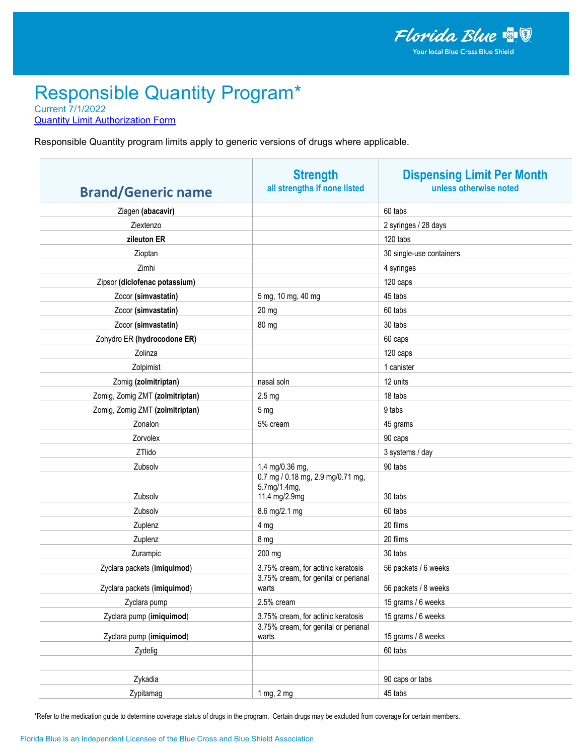**Quantity Limit Authorization Form** 

Responsible Quantity program limits apply to generic versions of drugs where applicable.

| <b>Brand/Generic name</b>       | <b>Strength</b><br>all strengths if none listed                    | <b>Dispensing Limit Per Month</b><br>unless otherwise noted |
|---------------------------------|--------------------------------------------------------------------|-------------------------------------------------------------|
| Ziagen (abacavir)               |                                                                    | 60 tabs                                                     |
| Ziextenzo                       |                                                                    | 2 syringes / 28 days                                        |
| zileuton ER                     |                                                                    | 120 tabs                                                    |
| Zioptan                         |                                                                    | 30 single-use containers                                    |
| Zimhi                           |                                                                    | 4 syringes                                                  |
| Zipsor (diclofenac potassium)   |                                                                    | 120 caps                                                    |
| Zocor (simvastatin)             | 5 mg, 10 mg, 40 mg                                                 | 45 tabs                                                     |
| Zocor (simvastatin)             | 20 mg                                                              | 60 tabs                                                     |
| Zocor (simvastatin)             | 80 mg                                                              | 30 tabs                                                     |
| Zohydro ER (hydrocodone ER)     |                                                                    | 60 caps                                                     |
| Zolinza                         |                                                                    | 120 caps                                                    |
| Zolpimist                       |                                                                    | 1 canister                                                  |
| Zomig (zolmitriptan)            | nasal soln                                                         | 12 units                                                    |
| Zomig, Zomig ZMT (zolmitriptan) | 2.5 <sub>mg</sub>                                                  | 18 tabs                                                     |
| Zomig, Zomig ZMT (zolmitriptan) | 5 <sub>mg</sub>                                                    | 9 tabs                                                      |
| Zonalon                         | 5% cream                                                           | 45 grams                                                    |
| Zorvolex                        |                                                                    | 90 caps                                                     |
| ZTlido                          |                                                                    | 3 systems / day                                             |
| Zubsolv                         | 1.4 mg/0.36 mg,                                                    | 90 tabs                                                     |
| Zubsolv                         | 0.7 mg / 0.18 mg, 2.9 mg/0.71 mg,<br>5.7mg/1.4mg,<br>11.4 mg/2.9mg | 30 tabs                                                     |
| Zubsolv                         | 8.6 mg/2.1 mg                                                      | 60 tabs                                                     |
| Zuplenz                         | 4 mg                                                               | 20 films                                                    |
| Zuplenz                         | 8 mg                                                               | 20 films                                                    |
| Zurampic                        | 200 mg                                                             | 30 tabs                                                     |
| Zyclara packets (imiquimod)     | 3.75% cream, for actinic keratosis                                 | 56 packets / 6 weeks                                        |
| Zyclara packets (imiquimod)     | 3.75% cream, for genital or perianal<br>warts                      | 56 packets / 8 weeks                                        |
| Zyclara pump                    | 2.5% cream                                                         | 15 grams / 6 weeks                                          |
| Zyclara pump (imiquimod)        | 3.75% cream, for actinic keratosis                                 | 15 grams / 6 weeks                                          |
| Zyclara pump (imiquimod)        | 3.75% cream, for genital or perianal<br>warts                      | 15 grams / 8 weeks                                          |
| Zydelig                         |                                                                    | 60 tabs                                                     |
|                                 |                                                                    |                                                             |
| Zykadia                         |                                                                    | 90 caps or tabs                                             |
| Zypitamag                       | 1 mg, 2 mg                                                         | 45 tabs                                                     |
|                                 |                                                                    |                                                             |